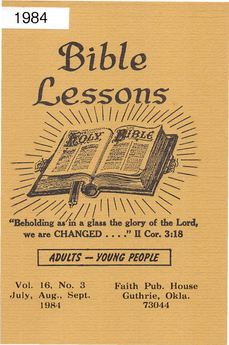

# ADULTS - YOUNG PEOPLE

Vol. 16, No. 3 Faith Pub. House July, Aug., Sept. Guthrie, Okla.

1984 73044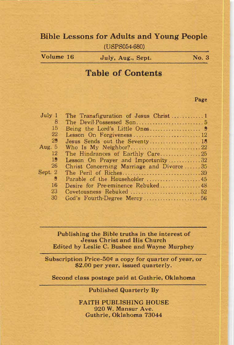## Bible Lessons for Adults and Young People

(USPS054-680)

Volume 16 July, Aug., Sept. No. 3

# Table of Contents

#### Page

| July 1    |                                          |  |
|-----------|------------------------------------------|--|
| 8         |                                          |  |
| 15        |                                          |  |
| 22        | Lesson On Forgiveness  12                |  |
| 29        | Jesus Sends out the Seventy 18           |  |
| Aug. $5$  | Who Is My Neighbor?22                    |  |
| 12        | The Hindrances of Earthly Care25         |  |
| 19        | Lesson On Prayer and Importunity32       |  |
| <b>26</b> | Christ Concerning Marriage and Divorce35 |  |
| Sept. 2   |                                          |  |
| g         |                                          |  |
| 16        | Desire for Pre-eminence Rebuked48        |  |
| 23        | Covetousness Rebuked 52                  |  |
| 30        |                                          |  |

Publishing the Bible truths in the interest of Jesus Christ and His Church Edited by Leslie C. Busbee and Wayne Murphey

Subscription Price-50¢ a copy for quarter of year, or \$2.00 per year, issued quarterly.

Second class postage paid at Guthrie, Oklahoma

Published Quarterly By

FAITH PUBLISHING HOUSE 920 W. Mansur Ave. Guthrie, Oklahoma 73044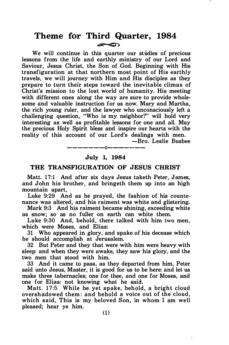## Theme for Third Quarter, 1984  $\sim$

We will continue in this quarter our studies of precious lessons from the life and earthly ministry of our Lord and Saviour, Jesus Christ, the Son of God. Beginning with His transfiguration at that northern most point of His earthly travels, we will journey with Him and His disciples as they prepare to turn their steps toward the inevitable climax of Christ's mission to the lost world of humanity. His meeting with different ones along the way are sure to provide wholesome and valuable instruction for us now. Mary and Martha, the rich young ruler, and the lawyer who unconsciously left a challenging question, "Who is my neighbor?" will hold very interesting as well as profitable lessons for one and all. May the precious Holy Spirit bless and inspire our hearts with the reality of this account of our Lord's dealings with men.

-Bro. Leslie Busbee

## -------0------- July 1, 1984

#### THE TRANSFIGURATION OF JESUS CHRIST

Matt. 17:1 And after six days Jesus taketh Peter, James, and John his brother, and bringeth them up into an high mountain apart,

Luke 9:29 And as he prayed, the fashion of his countenance was altered, and his raiment was white and glistering.

Mark 9:3 And his raiment became shining, exceeding white as snow; so as no fuller on earth can white them.

Luke 9:30 And, behold, there talked with him two men, which were Moses, and Elias:

31 Who appeared in glory, and spake of his decease which he should accomplish at Jerusalem.

32 But Peter and they that were with him were heavy with sleep: and when they were awake, they saw his glory, and the two men that stood with him.

33 And it came to pass, as they departed from him, Peter said unto Jesus, Master, it is good for us to be here: and let us make three tabernacles; one for thee, and one for Moses, and one for Elias: not knowing what he said.

Matt. 17:5 While he yet spake, behold, a bright cloud oversh adowed them: and behold a voice out of the cloud, which said, This is my beloved Son, in whom I am well pleased; hear ye him.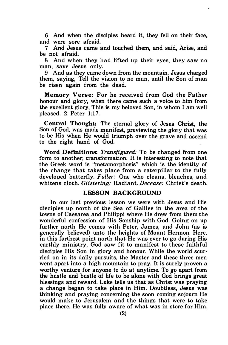6 And when the disciples heard it, they fell on their face, and were sore afraid.

7 And Jesus came and touched them, and said, Arise, and be not afraid.

8 And when they had lifted up their eyes, they saw no man, save Jesus only.

9 And as they came down from the mountain, Jesus charged them, saying, Tell the vision to no man, until the Son of man be risen again from the dead.

Memory Verse: For he received from God the Father honour and glory, when there came such a voice to him from the excellent glory, This is my beloved Son, in whom I am well pleased. 2 Peter 1:17.

Central Thought: The eternal glory of Jesus Christ, the Son of God, was made manifest, previewing the glory that was to be His when He would triumph over the grave and ascend to the right hand of God.

Word Definitions: Transfigured: To be changed from one form to another; transformation. It is interesting to note that the Greek word is "metamorphosis" which is the identity of the change that takes place from a caterpillar to the fully developed butterfly. Fuller: One who cleans, bleaches, and whitens cloth. Glistering: Radiant. Decease: Christ's death.

## LESSON BACKGROUND

In our last previous lesson we were with Jesus and His disciples up north of the Sea of Galilee in the area of the towns of Caesarea and Philippi where He drew from them the wonderful confession of His Sonship with God. Going on up farther north He comes with Peter, James, and John (as is generally believed) unto the heights of Mount Hermon. Here, in this farthest point north that He was ever to go during His earthly ministry, God saw fit to manifest to these faithful disciples His Son in glory and honour. While the world scurried on in its daily pursuits, the Master and these three men went apart into a high mountain to pray. It is surely proven a worthy venture for anyone to do at anytime. To go apart from the hustle and bustle of life to be alone with God brings great blessings and reward. Luke tells us that as Christ was praying a change began to take place in Him. Doubtless, Jesus was thinking and praying concerning the soon coming sojourn He would make to Jerusalem and the things that were to take place there. He was fully aware of what was in store for Him,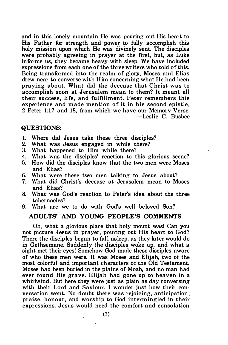and in this lonely mountain He was pouring out His heart to His Father for strength and power to fully accomplish this holy mission upon which He was divinely sent. The disciples were probably agreeing in prayer at the first, but, as Luke informs us, they became heavy with sleep. We have included expressions from each one of the three writers who told of this. Being transformed into the realm of glory, Moses and Elias drew near to converse with Him concerning what He had been praying about. What did the decease that Christ was to accomplish soon at Jerusalem mean to them? It meant all their success, life, and fulfillment. Peter remembers this experience and made mention of it in his second epistle. 2 Peter 1:17 and 18, from which we have our Memory Verse. -Leslie C. Busbee

#### QUESTIONS:

- 1. Where did Jesus take these three disciples?<br>2. What was Jesus engaged in while there?
- What was Jesus engaged in while there?
- 3. What happened to Him while there?
- 4. What was the disciples' reaction to this glorious scene?<br>5. How did the disciples know that the two men were Moses
- 5. How did the disciples know that the two men were Moses and Elias?
- 6. What were these two men talking to Jesus about?<br>7. What did Christ's decease at Jerusalem mean to M
- What did Christ's decease at Jerusalem mean to Moses and Elias?
- 8. What was God's reaction to Peter's idea about the three tabernacles?
- 9. What are we to do with God's well beloved Son?

#### ADULTS' AND YOUNG PEOPLE'S COMMENTS

Oh, what a glorious place that holy mount was! Can you not picture Jesus in prayer, pouring out His heart to God? There the disciples began to fall asleep, as they later would do in Gethsemane. Suddenly the disciples woke up, and what a sight met their eyes! Somehow God made these disciples aware of who these men were. It was Moses and Elijah, two of the most colorful and important characters of the Old Testament. Moses had been buried in the plains of Moab, and no man had ever found His grave. Elijah had gone up to heaven in a whirlwind. But here they were just as plain as day conversing with their Lord and Saviour. I wonder just how their conversation went. No doubt there was rejoicing, anticipation, praise, honour, and worship to God intermingled in their expressions. Jesus would need the comfort and consolation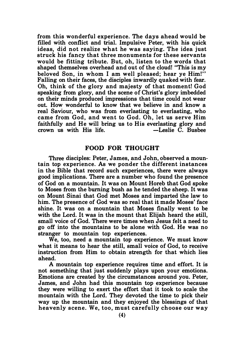from this wonderful experience. The days ahead would be filled with conflict and trial. Impulsive Peter, with his quick ideas, did not realize what he was saying. The idea just struck his fancy that three monuments for these servants would be fitting tribute. But, oh, listen to the words that shaped themselves overhead and out of the cloud! "This is my beloved Son, in whom I am well pleased; hear ye Him!'' Falling on their faces, the disciples inwardly quaked with fear. Oh, think of the glory and majesty of that moment! God speaking from glory, and the scene of Christ's glory imbedded on their minds produced impressions that time could not wear out. How wonderful to know that we believe in and know a real Saviour, who was from everlasting to everlasting, who came from God, and went to God. Oh, let us serve Him faithfully and He will bring us to His everlasting glory and crown us with His life.  $\qquad \qquad -\text{L}$ eslie C. Busbee

#### FOOD FOR THOUGHT

Three disciples: Peter, James, and John, observed a mountain top experience. As we ponder the different instances in the Bible that record such experiences, there were always good implications. There are a number who found the presence of God on a mountain. It was on Mount Horeb that God spoke to Moses from the burning bush as he tended the sheep. It was on Mount Sinai that God met Moses and imparted the law to him. The presence of God was so real that it made Moses' face shine. It was on a mountain that Moses finally went to be with the Lord. It was in the mount that Elijah heard the still. small voice of God. There were times when Jesus felt a need to go off into the mountains to be alone with God. He was no stranger to mountain top experiences.

We, too, need a mountain top experience. We must know what it means to hear the still, small voice of God, to receive instruction from Him to obtain strength for that which lies ahead.

A mountain top experience requires time and effort. It is not something that just suddenly plays upon your emotions. Emotions are created by the circumstances around you. Peter, James, and John had this mountain top experience because they were willing to exert the effort that it took to scale the mountain with the Lord. They devoted the time to pick their way up the mountain and they enjoyed the blessings of that heavenly scene. We, too, must carefully choose our way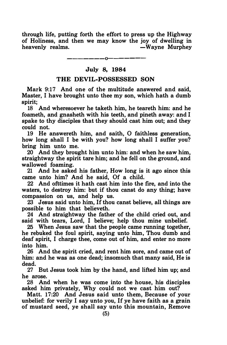through life, putting forth the effort to press up the Highway of Holiness, and then we may know the joy of dwelling in heavenly realms. - Wayne Murphey

## —————————————— July 8, 1984

#### THE DEVIL-POSSESSED SON

Mark 9:17 And one of the multitude answered and said, Master, I have brought unto thee my son, which hath a dumb spirit;

18 And wheresoever he taketh him, he teareth him: and he foameth, and gnasheth with his teeth, and pineth away: and I spake to thy disciples that they should cast him out; and they could not.

19 He answereth him, and saith, 0 faithless generation, how long shall I be with you? how long shall I suffer you? bring him unto me.

20 And they brought him unto him: and when he saw him, straightway the spirit tare him; and he fell on the ground, and wallowed foaming.

21 And he asked his father, How long is it ago since this came unto him? And he said, Of a child.

22 And ofttimes it hath cast him into the fire, and into the waters, to destroy him: but if thou canst do any thing; have compassion on us, and help us.

 $23$  Jesus said unto him. If thou canst believe, all things are possible to him that believeth.

24 And straightway the father of the child cried out, and said with tears, Lord, I believe; help thou mine unbelief.

25 When Jesus saw that the people came running together, he rebuked the foul spirit, saying unto him, Thou dumb and deaf spirit, I charge thee, come out of him, and enter no more into him.

26 And the spirit cried, and rent him sore, and came out of him: and he was as one dead; insomuch that many said, He is dead.

27 But Jesus took him by the hand, and lifted him up; and he arose.

28 And when he was come into the house, his disciples asked him privately, Why could not we cast him out?

Matt. 17:20 And Jesus said unto them, Because of your unbelief: for verily I say unto you, If ye have faith as a grain of mustard seed, ye shall say unto this mountain, Remove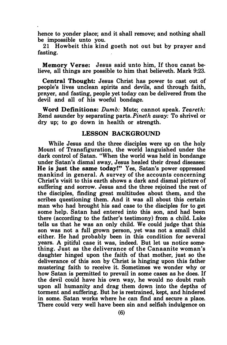hence to yonder place; and it shall remove; and nothing shall be impossible unto you.

21 Howbeit this kind goeth not out but by prayer and fasting.

Memory Verse: Jesus said unto him, If thou canst believe, all things are possible to him that believeth. Mark 9:23.

Central Thought: Jesus Christ has power to cast out of people's lives unclean spirits and devils, and through faith, prayer, and fasting, people yet today can be delivered from the devil and all of his woeful bondage.

Word Definitions: Dumb: Mute; cannot speak. Teareth: Rend asunder by separating parts. Pineth away: To shrivel or dry up; to go down in health or strength.

## LESSON BACKGROUND

While Jesus and the three disciples were up on the holy Mount of Transfiguration, the world languished under the dark control of Satan. "When the world was held in- bondange under Satan's dismal sway, Jesus healed their dread diseases: He is just the same today!" Yes, Satan's power oppressed mankind in general. A survey of the accounts concerning Christ's visit to this earth shows a dark and dismal picture of suffering and sorrow. Jesus and the three rejoined the rest of the disciples, finding great multitudes about them, and the scribes questioning them. And it was all about this certain man who had brought his sad case to the disciples for to get some help. Satan had entered into this son, and had been there (according to the father's testimony) from a child. Luke tells us that he was an only child. We could judge that this son was not a full grown person, yet was not a small child either. He had probably been in this condition for several years. A pitiful case it was, indeed. But let us notice something. Just as the deliverance of the Canaanite woman's daughter hinged upon the faith of that mother, just so the deliverance of this son by Christ is hinging upon this father mustering faith to receive it. Sometimes we wonder why or how Satan is permitted to prevail in some cases as he does. If the devil could have his own way, he would no doubt rush upon all humanity and drag them down into the depths of torment and suffering. But he is restrained, kept, and hindered in some. Satan works where he can find and secure a place. There could very well have been sin and selfish indulgence on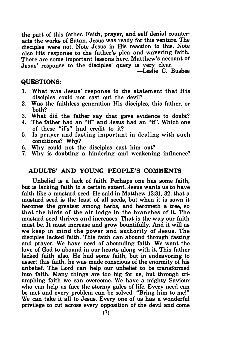the part of this father. Faith, prayer, and self denial counteracts the works of Satan. Jesus was ready for this venture. The disciples were not. Note Jesus in His reaction to this. Note also His response to the father's plea and wavering faith. There are some important lessons here. Matthew's account of Jesus' response to the disciples' query is very clear.

-Leslie C. Busbee

#### QUESTIONS:

- 1. What was Jesus' response to the statement that His disciples could not cast out the devil?
- 2. Was the faithless generation His disciples, this father, or both?
- 3. What did the father say that gave evidence to doubt?
- 4. The father had an "if' and Jesus had an "if'. Which one of these "ifs" had credit to it?
- 5. Is prayer and fasting important in dealing with such conditions? Why?
- 6. Why could not the disciples cast him out?
- 7. Why is doubting a hindering and weakening influence?

#### ADULTS' AND YOUNG PEOPLE'S COMMENTS

Unbelief is a lack of faith. Perhaps one has some faith, but is lacking faith to a certain extent. Jesus wants us to have faith like a mustard seed. He said in Matthew 13:31, 32, that a mustard seed is the least of all seeds, but when it is sown it becomes the greatest among herbs, and becometh a tree, so that the birds of the air lodge in the branches of it. The mustard seed thrives and increases. That is the way our faith must be. It must increase and grow bountifully. And it will as we keep in mind the power and authority of Jesus. The disciples lacked faith. This faith can abound through fasting and prayer. We have need of abounding faith. We want the love of God to abound in our hearts along with it. This father lacked faith also. He had some faith, but in endeavoring to assert this faith, he was made conscious of the enormity of his unbelief. The Lord can help our unbelief to be transformed into faith. Many things are too big for us, but through triumphing faith we can overcome. We have a mighty Saviour who can help us face the stormy gales of life. Every need can be met and every problem can be solved. "Bring him to me!" We can take it all to Jesus. Every one of us has a wonderful privilege to cut across every opposition of the devil and come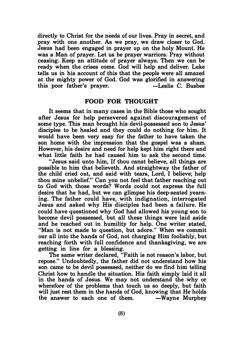directly to Christ for the needs of our lives. Pray in secret, and pray with one another. As we pray, we draw closer to God. Jesus had been engaged in prayer up on the holy Mount. He was a Man of prayer. Let us be prayer warriors. Pray without ceasing. Keep an attitude of prayer always. Then we can be ready when the crises come. God will help and deliver. Luke tells us in his account of this that the people were all amazed at the mighty power of God. God was glorified in answering this poor father's prayer. - -Leslie C. Busbee

### FOOD FOR. THOUGHT

It seems that in many cases in the Bible those who sought after Jesus for help persevered against discouragement of some type. This man brought his devil-possessed son to Jesus' disciples to be healed and they could do nothing for him. It would have been very easy for the father to have taken the son home with the impression that the gospel was a sham. However, his desire and need for help kept him right there and what little faith he had caused him to ask the second time.

"Jesus said unto him, If thou canst believe, all things are possible to him that believeth. And straightway the father of the child cried out, and said with tears, Lord, I believe; help thou mine unbelief." Can you not feel that father reaching out to God with those words? Words could not express the full desire that he had, but we can glimpse his deep-seated yearning. The father could have, with indignation, interrogated Jesus and asked why His disciples had been a failure. He could have questioned why God had allowed his young son to become devil possessed, but all these things were laid aside and he reached out in humility for help. One writer stated, "Man is not made to question, but adore." When we commit our all into the hands of God, not charging Him foolishly, but reaching forth with full confidence and thanksgiving, we are getting in line for a blessing.

The same writer declared, "Faith is not reason's labor, but repose." Undoubtedly, the father did not understand how his son came to be devil possessed, neither do we find him telling Christ how to handle the situation. His faith simply laid it all in the hands of Jesus. We may not understand the why or wherefore of the problems that touch us so deeply, but faith will just rest them in the hands of God, knowing that He holds the answer to each one of them.  $-Wa$  we Murphey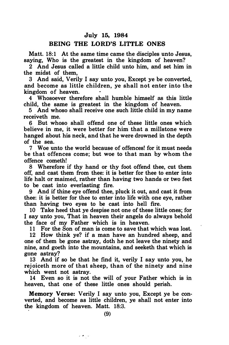#### July 15, 1984

## BEING THE LORD'S LITTLE ONES

Matt. 18:1 At the same time came the disciples unto Jesus. saying, Who is the greatest in the kingdom of heaven?

2 And Jesus called a little child unto him, and set him in the midst of them,

3 And said, Verily I say unto you, Except ye be converted, and become as little children, ye shall not enter into the kingdom of heaven.

4 Whosoever therefore shall humble himself as this little child, the same is greatest in the kingdom of heaven.

5 And whoso shall receive one such little child in my name receiveth me.

6 But whoso shall offend one of these little ones which believe in me, it were better for him that a millstone were hanged about his neck, and that he were drowned in the depth of the sea.

7 Woe unto the world because of offences! for it must needs be that offences come; but woe to that man by whom the offence cometh!

8 Wherefore if thy hand or thy foot offend thee, cut them off, and cast them from thee: it is better for thee to enter into life halt or maimed, rather than having two hands or two feet to be cast into everlasting fire.

9 And if thine eye offend thee, pluck it out, and cast it from thee: it is better for thee to enter into life with one eye, rather than having two eyes to be cast into hell frre.

10 Take heed that ye despise not one of these little ones; for I say unto you, That in heaven their angels do always behold the face of my Father which is in heaven.

11 For the Son of man is come to save that which was lost.

12 How think ye? if a man have an hundred sheep, and one of them be gone astray, doth he not leave the ninety and nine, and goeth into the mountains, and seeketh that which is gone astray?

13 And if so be that he find it, verily I say unto you, he rejoiceth more of that sheep, than of the ninety and nine which went not astray.

14 Even so it is not the will of your Father which is in heaven, that one of these little ones should perish.

Memory Verse: Verily I say unto you, Except ye be converted, and become as little children, ye shall not enter into the kingdom of heaven. Matt. 18:3.

 $\mathcal{L}(\mathbf{z}_1)$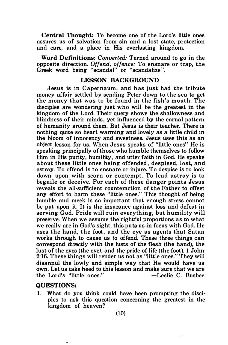Central Thought: To become one of the Lord's little ones assures us of salvation from sin and a lost state, protection and care, and a place in His everlasting kingdom.

Word Definitions: Converted: Turned around to go in the opposite direction. Offend, offence: To ensnare or trap, the Greek word being "scandal" or "scandalize".

#### LESSON BACKGROUND

Jesus is in Capernaum, and has just had the tribute money affair settled by sending Peter down to the sea to get the money that was to be found in the fish's mouth. The disciples are wondering just who will be the greatest in the kingdom of the Lord. Their query shows the shallowness and blindness of their minds, yet influenced by the carnal pattern of humanity around them. But Jesus is their teacher. There is nothing quite so heart warming and lovely as a little child in the bloom of innocency and sweetness. Jesus uses this as an object lesson for us. When Jesus speaks of "little ones" He is speaking principally of those who humble themselves to follow Him in His purity, humility, and utter faith in God. He speaks about these little ones being offended, despised, lost, and astray. To offend is to ensnare or injure. To despise is to look down upon with scorn or contempt. To lead astray is to beguile or deceive. For each of these danger points Jesus reveals the all-sufficient counteraction of the Father to offset any effort to harm these "little ones." This thought of being humble and meek is so important that enough stress cannot be put upon it. It is the insurance against loss and defeat in serving God. Pride will ruin everything, but humility will preserve. When we assume the rightful proportions as to what we really are in God's sight, this puts us in focus with God. He uses the hand, the foot, and the eye as agents that Satan works through to cause us to offend. These three things can correspond directly with the lusts of the flesh (the hand), the lust of the eyes (the eye), and the pride of life (the foot). 1 John 2:16. These things will render us not as "little ones." They will disannul the lowly and simple way that He would have us own. Let us take heed to this lesson and make sure that we are the Lord's "little ones." -Leslie C. Busbee

#### QUESTIONS:

1. What do you think could have been prompting the disciples to ask this question concerning the greatest in the kingdom of heaven?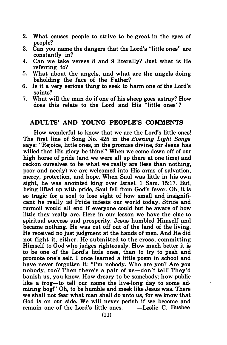- 2. What causes people to strive to be great in the eyes of people?
- 3. Can you name the dangers that the Lord's "little ones" are constantly in?
- 4. Can we take verses 8 and 9 literally? Just what is He referring to?
- 5. What about the angels, and what are the angels doing beholding the face of the Father?
- 6. Is it a very serious thing to seek to harm one of the Lord's saints?
- 7. What will the man do if one of his sheep goes astray? How does this relate to the Lord and His "little ones"?

#### ADULTS' AND YOUNG PEOPLE'S COMMENTS

How wonderful to know that we are the Lord's little ones! The first line of Song No. 425 in the Evening Light Songs says: "Rejoice, little ones, in the promise divine, for Jesus has willed that His glory be thine!" When we come down off of our high horse of pride (and we were all up there at one time) and reckon ourselves to be what we really are (less than nothing, poor and needy) we are welcomed into His arms of salvation, mercy, protection, and hope. When Saul was little in his own sight, he was anointed king over Israel. 1 Sam. 15:17. But, being lifted up with pride, Saul fell from God's favor. Oh, it is so tragic for a soul to lose sight of how small and insignificant he really is! Pride infests our world today. Strife and turmoil would all end if everyone could but be aware of how little they really are. Here in our lesson we have the clue to spiritual success and prosperity. Jesus humbled Himself and became nothing. He was cut off out of the land of the living. He received no just judgment at the hands of men. And He did not fight it, either. He submitted to the cross, committing Himself to God who judges righteously. How much better it is to be one of the Lord's little ones, than to try to push and promote one's self. I once learned a little poem in school and have never forgotten it: "I'm nobody. Who are you? Are you nobody, too? Then there's a pair of us—don't tell! They'd banish us, you know. How dreary to be somebody; how public like a frog-to tell our name the live-long day to some admiring bog!" Oh, to be humble and meek like Jesus was. There we shall not fear what man shall do unto us, for we know that God is on our side. We will never perish if we become and remain one of the Lord's little ones.  $\qquad$  -Leslie C. Busbee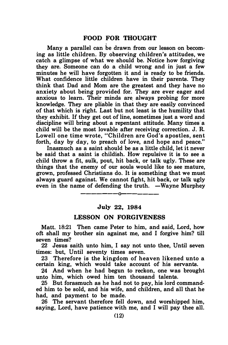Many a parallel can be drawn from our lesson on becoming as little children. By observing children's attitudes, we catch a glimpse of what we should be. Notice how forgiving they are. Someone can do a child wrong and in just a few minutes he will have forgotten it and is ready to be friends. What confidence little children have in their parents. They think that Dad and Mom are the greatest and they have no anxiety about being provided for. They are ever eager and anxious to learn. Their minds are. always probing for more knowledge. They are pliable in that they are easily convinced of that which is right. Last but not least is the humility that they exhibit. If they get out of line, sometimes just a word and discipline will bring about a repentant attitude. Many times a child will be the most lovable after receiving correction. J. R Lowell one time wrote, "Children are God's apostles, sent forth, day by day, to preach of love, and hope and peace."

Inasmuch as a saint should be as a little child, let it never be said that a saint is childish. How repulsive it is to see a child throw a fit, sulk, pout, hit back, or talk ugly. These are things that the enemy of our souls would like to see mature, grown, professed Christians do. It is something that we must always guard against. We cannot fight, hit back, or talk ugly even in the name of defending the truth.  $-Wa$  when Murphey

# -------o------- July 22, 1984

#### LESSON ON FORGIVENESS

Matt. 18:21 Then came Peter to him, and said, Lord, how oft shall my brother sin against me, and I forgive him? till seven times?

22 Jesus saith unto him, I say not unto thee, Until seven times: but, Until seventy times seven.

23 ·Therefore is the kingdom of heaven likened unto a certain king, which would take account of his servants.

24 And when he had begun to reckon, one was brought unto him, which owed him ten thousand talents.

25 But forasmuch as he had not to pay, his lord commanded him to be sold, and his wife, and children, and all that he had, and payment to be made.

26 The servant therefore fell down, and worshipped him, saying, Lord, have patience with me, and I will pay thee all.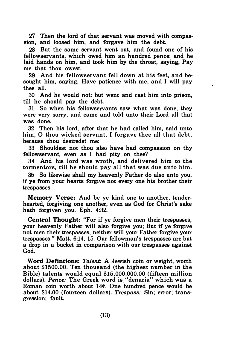27 Then the lord of that servant was moved with compassion, and loosed him, and forgave him the debt.

28 But the same servant went out, and found one of his fellowservants, which owed him an hundred pence: and he laid hands on him, and took him by the throat, saying, Pay me that thou owest.

29 And his fellowservant fell down at his feet, and besought him, saying, Have patience with me, and I will pay thee all.

30 And he would not: but went and cast him into prison, till he should pay the debt.

31 So when his fellowservants saw what was done, they were very sorry, and came and told unto their Lord all that was done.

32 Then his lord, after that he had called him, said unto him, 0 thou wicked servant, I forgave thee all that debt, because thou desiredst me:

33 Shouldest not thou also have had compassion on thy fellowservant, even as I had pity on thee?

34 And his lord was wroth, and delivered him to the tormentors, till he should pay all that was due unto him.

35 So likewise shall my heavenly Father do also unto you, if ye from your hearts forgive not every one his brother their trespasses.

Memory Verse: And be ye kind one to another, tenderhearted, forgiving one another, even as God for Christ's sake hath forgiven you. Eph. 4:32.

Central Thought: "For if ye forgive men their trespasses, your heavenly Father will also forgive you; But if ye forgive not men their trespasses, neither will your Father forgive your trespasses." Matt. 6:14, 15. Our fellowman's trespasses are but a drop in a bucket in comparison with our trespasses against God.

Word Defintions: Talent: A Jewish coin or weight, worth about \$1500.00. Ten thousand (the highest number in the Bible) talents would equal \$15,000,000.00 (fifteen million dollars). Pence: The Greek word is "denaria" which was a Roman coin worth about 14¢. One hundred pence would be about \$14.00 (fourteen dollars). Trespass: Sin; error; transgression; fault.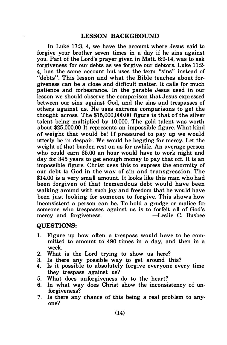In Luke 17:3, 4, we have the account where Jesus said to forgive your brother seven times in a day if he sins against you. Part of the Lord's prayer given in Matt. 6:9-14, was to ask forgiveness for our debts as we forgive our debtors. Luke 11:2- 4, has the same account but uses the term "sins" instead of "debts". This lesson and what the Bible teaches about forgiveness can be a close and difficult matter. It calls for much patience and forbearance. In the parable Jesus used in our lesson we should observe the comparison that Jesus expressed between our sins against God, and the sins and trespasses of other:5 against us. He uses extreme comp arisons to get the thought across. The \$15,000,000.00 figure is that of the silver talent being multiplied by 10,000. The gold talent was worth about \$25,000.00 It represents an impossible figure. What kind of weight that would be! If pressured to pay up we would utterly be in despair. We would be begging for mercy. Let the weight of that burden rest on us for awhile. An average person who could earn \$5.00 an hour would have to work night and day for 345 years to get enough money to pay that off. It is an impossible figure. Christ uses this to express the enormity of our debt to God in the way of sin and transgression. The \$14.00 is a very small amount. It looks like this man who had been forgiven of that tremendous debt would have been walking around with such joy and freedom that he would have been just looking for someone to forgive. This shows how inconsistent a person can be. To hold a grudge or malice for someone who trespasses against us is to forfeit all of God's mercy and forgiveness.

#### QUESTIONS:

- 1. Figure up how often a trespass would have to be committed to amount to 490 times in a day, and then in a week.
- 2. What is the Lord trying to show us here?
- 3. Is there any possible way to get around this?
- 4. Is it possible to absolutely forgive everyone every time they trespass against us?
- 5. What does unforgiveness do to the heart?
- 6. In what way does Christ show the inconsistency of unforgiveness?
- 7. Is there any chance of this being a real problem to anyone?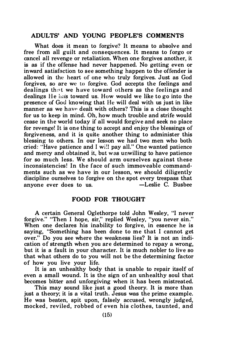## ADULTS' AND YOUNG PEOPLE'S COMMENTS

What does it mean to forgive? It means to absolve and free from all guilt and consequences. It means to forgo or cancel all revenge or retaliation. When one forgives another, it is as if the offense had never happened. No getting even or inward satisfaction to see something happen to the offender is allowed in the heart of one who truly forgives. Just as God forgives, so are we to forgive. God accepts the feelings and dealings that we have toward others as the feelings and dealings He has toward us. How would we like to go into the presence of Gou knowing that He will deal with us just in like manner as we have dealt with others? This is a close thought for us to keep in mind. Oh, how much trouble and strife would cease in the world today if all would forgive and seek no place for revenge! It is one thing to accept and enjoy the blessings of forgiveness, and it is quite another thing to administer this blessing to others. In our lesson we had two men who both cried: "Have patience and I wi!I pay all." One wanted patience and mercy and obtained it, but was unwilling to have patience for so much less. We should arm ourselves against these inconsistencies! In the face of such immoveable commandments such as we have in our lesson, we should diligently discipline ourselves to forgive on the spot every trespass that anyone ever does to us. - Leslie C. Busbee

#### FOOD FOR THOUGHT

A certain General Oglethorpe told John Wesley, "I never forgive." "Then I hope, sir," replied Wesley, "you never sin." When one declares his inability to forgive, in essence he is saying, "Something has been done to me that I cannot get over." Do you see where the weakness lies? It is not an indication of strength when you are determined to repay a wrong, but it is a fault in your character. It is much nobler to live so that what others do to you will not be the determining factor of how you live your life.

It is an unhealthy body that is unable to repair itself of even a small wound. It is the sign of an unhealthy soul that becomes bitter and unforgiving when it has been mistreated.

This may sound like just a good theory. It is more than just a theory; it is a vital truth. Jesus was the prime example. He was beaten, spit upon, falsely accused, wrongly judged, mocked, reviled, robbed of even his clothes, taunted, and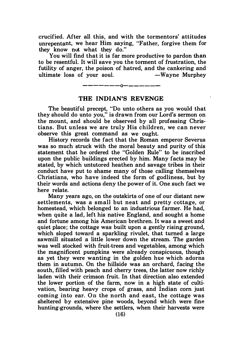crucified. After all this, and with the tormentors' attitudes unrepentant, we hear Him saying, "Father, forgive them for they know nut what they do."

You will find that it is far more productive to pardon than to be resentful. It will save you the torment of frustration, the futility of anger, the poison of hatred, and the cankering and ultimate loss of your soul.  $-Wa$  we Murphey

## ————————————————— THE INDIAN'S REVENGE

The beautiful precept, "Do unto others as you would that they should do unto you," is drawn from our Lord's sermon on the mount, and should be observed by all professing Christians. But unless we are truly His children, we can never observe this great command as we ought.

History records the fact that the Roman emperor Severus was so much struck with the moral beauty and purity of this statement that he ordered the "Golden Rule" to be inscribed upon the public buildings erected by him. Many facts may be stated, by which untutored heathen and savage tribes in their conduct have put to shame many of those calling themselves Christians, who have indeed the form of godliness, but by their words and actions deny the power of it. One such fact we here relate.

Many years ago, on the outskirts of one of our distant new settlements, was a small but neat and pretty cottage, or homestead, which belonged to an industrious farmer. He had, when quite a lad, left his native England, and sought a home and fortune among his American brethren. It was a sweet and quiet place; the cottage was built upon a gently rising ground, which sloped toward a sparkling rivulet, that turned a large sawmill situated a little lower down the stream. The garden was well stocked with fruit-trees and vegetables, among which the magnificent pumpkins were already conspicuous, though as yet they were wanting in the golden hue which adorns them in autumn. On the hillside was an orchard, facing the south, filled with peach and cherry trees, the latter now richly laden with their crimson fruit. In that direction also extended the lower portion of the farm, now in a high state of cultivation, bearing heavy crops of grass, and Indian com just coming into ear. On the north and east, the cottage was sheltered by extensive pine woods, beyond which were fine hunting·grounds, where the settlers, when their harvests were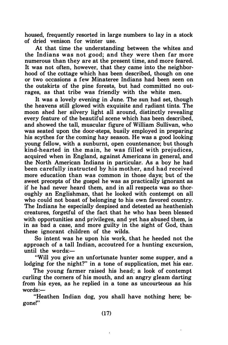housed, frequently resorted in large numbers to lay in a stock of dried venison for winter use.

At that time the understanding between the whites and the Indians was not good; and they were then far more numerous than they are at the present time, and more feared. It was not often, however, that they came into the neighborhood of the cottage which has been described, though on one or two occasions a few Minateree Indians had been seen on the outskirts of the pine forests, but had committed no outrages, as that tribe was friendly with the white men.

It was a lovely evening in June. The sun had set, though the heavens still glowed with exquisite and radiant tints. The moon shed her silvery light all around, distinctly revealing every feature of the beautiful scene which has been described, and showed the tall, muscular figure of William Sullivan, who was seated upon the door-steps, busily employed in preparing his scythes for the coming hay season. He was a good looking young fellow, with a sunburnt, open countenance; but though kind-hearted in the main, he was filled with prejudices, acquired when in England, against Americans in general, and the North American Indians in particular. As a boy he had been carefully instructed by his mother, and had received more education than was common in those days; but of the sweet precepts of the gospel he was as practically ignorant as if he had never heard them, and in all respects was so thoroughly an Englishman, that he looked with contempt on all who could not boast of belonging to his own favored country. The Indians he especially despised and detested as heathenish creatures, forgetful of the fact that he who has been blessed with opportunities and privileges, and yet has abused them, is in as bad a case, and more guilty in the sight of God, than these ignorant children of the wilds.

So intent was he upon his work, that he heeded not the approach of a tall Indian, accoutred for a hunting excursion, until the words:-

"Will you give an unfortunate hunter some supper, and a lodging for the night?" in a tone of supplication, met his ear.

The young farmer raised his head; a look of contempt curling the comers of his mouth, and an angry gleam darting from his eyes, as he replied in a tone as uncourteous as his  $words:$ 

"Heathen Indian dog, you shall have nothing here; begone!"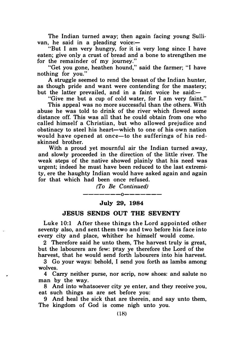The Indian turned away; then again facing young Sullivan, he said in a pleading voice: $-$ 

"But I am very hungry, for it is very long since I have eaten; give only a crust of bread and a bone to strengthen me for the remainder of my journey."

"Get you gone, heathen hound," said the farmer; "I have nothing for you."

A struggle seemed to rend the breast of the Indian hunter, as though pride and want were contending for the mastery; but the latter prevailed, and in a faint voice he said:-

"Give me but a cup of cold water, for I am very faint."

This appeal was no more successful than the others. With abuse he was told to drink of the river which flowed some distance off. This was all that he could obtain from one who called himself a Christian, but who allowed prejudice and obstinacy to steel his heart-which to one of his own nation would have opened at once-to the sufferings of his redskinned brother.

With a proud yet mournful air the Indian turned away, and slowly proceeded in the direction of the little river. The weak steps of the native showed plainly that his need was urgent; indeed he must have been reduced to the last extremity, ere the haughty Indian would have asked again and again for that which had been once refused.

> (To Be Continued) -------0-------

#### July 29, 1984

#### JESUS SENDS OUT THE SEVENTY

Luke 10:1 After these things the Lord appointed other seventy also, and sent them two and two before his face into every city and place, whither he himself would come.

2 Therefore said he unto them, The harvest truly is great, but the labourers are few: pray ye therefore the Lord of the harvest, that he would send forth labourers into his harvest.

3 Go your ways: behold, I send you forth as lambs among wolves.

4 Carry neither purse, nor scrip, now shoes: and salute no man by the way.

8 And into whatsoever city ye enter, and they receive you, eat such things as are set before you:

9 And heal the sick that are therein, and say unto them, The kingdom of God is come nigh unto you.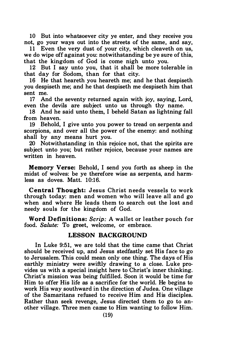10 But into whatsoever city ye enter, and they receive you not, go your ways out into the streets of the same, and say,

11 Even the very dust of your city, which cleaveth on us, we do wipe off against you: notwithstanding be ye sure of this, that the kingdom of God is come nigh unto you.

12 But I say unto you, that it shall be more tolerable in that day for Sodom, than for that city.

16 He that heareth you heareth me; and he that despiseth you despiseth me; and he that despiseth me despiseth him that sent me.

17 And the seventy returned again with joy, saying, Lord, even the devils are subject unto us through thy name.

18 And he said unto them, I beheld Satan as lightning fall from heaven.

19 Behold, I give unto you power to tread on serpents and scorpions, and over all the power of the enemy: and nothing shall by any means hurt you.

20 Notwithstanding in this rejoice not, that the spirits are subject unto you; but rather rejoice, because your names are written in heaven.

Memory Verse: Behold, I send you forth as sheep in the midst of wolves: be ye therefore wise as serpents, and harmless as doves. Matt. 10:16.

Central Thought: Jesus Christ needs vessels to work through today: men and women who will leave all and go when and where He leads them to search out the lost and needy souls for the kingdom of God.

Word Definitions: Scrip: A wallet or leather pouch for food. Salute: To greet, welcome, or embrace.

#### LESSON BACKGROUND

In Luke 9:51, we are told that the time came that Christ should be received up, and Jesus stedfastly set His face to go to Jerusalem. This could mean only one thing. The days of His earthly ministry were swiftly drawing to a close. Luke provides us with a special insight here to Christ's inner thinking. Christ's mission was being fulfilled. Soon it would be time for Him to offer His life as a sacrifice for the world. He begins to work His way southward in the direction of Judea. One village of the Samaritans refused to receive Him and His disciples. Rather than seek revenge, Jesus directed them to go to another village. Three men came to Him wanting to follow Him.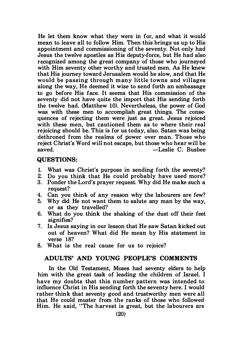He let them know what they were in for, and what it would mean to leave all to follow Him. Then this brings us up to His appointment and commissioning of the seventy. Not only had Jesus the twelve apostles as His deputy-force, but He had also recognized among the great company of those who journeyed with Him seventy other worthy and trusted men. As He knew that His journey toward Jerusalem would be slow, and that He would be passing through many little towns and villages along the-way, He deemed it wise to send forth an ambassage to go before His face. It seems that His commission of the seventy did not have quite the import that His sending forth the twelve had. (Matthew 10). Nevertheless, the power of God was with these men to accomplish great things. The consequences of rejecting them were just as great. Jesus rejoiced with these men, but cautioned them as to where their real rejoicing should be. This is for us today, also. Satan was being dethroned from the realms of power over man. Those who reject Christ's Word will not escape, but those who hear will be -Leslie C. Busbee

#### QUESTIONS:

- 1. What was Christ's purpose in sending forth the seventy?
- 2. Do you think that He could probably have used more?
- 3. Ponder the Lord's prayer request. Why did He make such a request?
- 4. Can you think of any reason why the labourers are few?
- 5. Why did He not want them to salute any man by the way, or as they travelled?
- 6. What do you think the shaking of the dust off their feet signifies?
- 7. Is Jesus saying in our lesson that He saw Satan kicked out out of heaven? What did He mean by His statement in verse 18?
- 8. What is the real cause for us to rejoice?

## ADULTS' AND YOUNG PEOPLE'S COMMENTS

In the Old Testament, Moses had seventy elders to help him with the great task of leading the children of Israel. I have my doubts that this number pattern was intended to influence Christ in His sending forth the seventy here. I would rather think that seventy good and trustworthy men were all that He could muster from the ranks of those who followed Him. He said, "The harvest is great, but the labourers are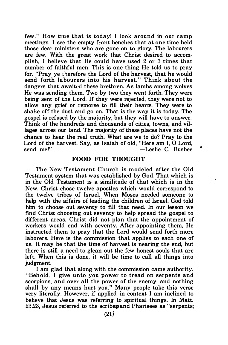few." How true that is today! I look around in our camp meetings. I see the empty front benches that at one time held those dear ministers who are gone on to glory. The labourers are few. With the great work that Christ desired to accomplish, I believe that He could have used 2 or 3 times that number of faithful men. This is one thing He told us to pray for. "Pray ye therefore the Lord of the harvest, that he would send forth labourers into his harvest." Think about the dangers that awaited these brethren. As lambs among wolves He was sending them. Two by two they went forth. They were being sent of the Lord. If they were rejected, they were not to allow any grief or remorse to fill their hearts. They were to shake off the dust and go on. That is the way it is today. The gospel is refused by the majority, but they will have to answer. Think of the hundreds and thousands of cities, towns, and villages across our land. The majority of these places have not the chance to hear the real truth. What are we to do? Pray to the Lord of the harvest. Say, as Isaiah of old, "Here am I, O Lord,<br>send me!"<br>-Leslie C. Bushee  $-$ Leslie C. Busbee

#### FOOD FOR THOUGHT

The New Testament Church is modeled after the Old Testament system that was established by God. That which is in the Old Testament is a similitude of that which is in the New. Christ chose twelve apostles which would correspond to the twelve tribes of Israel. When Moses needed someone to help with the affairs of leading the children of Israel, God told him to choose out seventy to fill that need. In our lesson we find Christ choosing out seventy to help spread the gospel to different areas. Christ did not plan that the appointment of workers would end with seventy. After appointing them, He instructed them to pray that the Lord would send forth more laborers. Here is the commission that applies to each one of us. It may be that the time of harvest is nearing the end, but there is still a need to glean out the few honest souls that are left. When this is done, it will be time to call all things into judgment.

I am glad that along with the commission came authority. "Behold. I give unto you power to tread on serpents and scorpions, and over all the power of the enemy: and nothing shall by any means hurt you." Many people take this verse very literally. However, if applied in context I am inclined to believe that Jesus was referring to spiritual things. In Matt. 23.23, Jesus referred to the scribe and Pharisees as "serpents;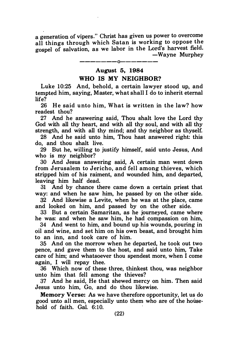a generation of vipers." Christ has given us power to overcome all things through which Satan is working to oppose the gospel of salvation, as we labor in the Lord's harvest field. -Wayne Murphey

## -------0------- August 5, 1984

#### WHO IS MY NEIGHBOR?

Luke 10:25 And, behold, a certain lawyer stood up, and tempted him, saying, Master, what shall I do to inherit eternal life?

26 He said unto him. What is written in the law? how readest thou?

27 And he answering said, Thou shalt love the Lord thy God with all thy heart, and with all thy soul, and with all thy strength, and with all thy mind; and thy neighbor as thyself.

28 And he said unto him, Thou hast answered right: this do, and thou shalt live.

29 But he, willing to justify himself, said unto Jesus, And who is my neighbor?

30 And Jesus answering said, A certain man went down from Jerusalem to Jericho, and fell among thieves, which stripped him of his raiment, and wounded him, and departed, leaving him half dead.

31 And by chance there came down a certain priest that way: and when he saw him, he passed by on the other side.

32 And likewise a Levite, when he was at the place, came and looked on him, and passed by on the other side.

33 But a certain Samaritan, as he journeyed, came where he was: and when he saw him, he had compassion on him,

34 And went to him, and bound up his wounds, pouring in oil and wine, and set him on his own beast, and brought him to an inn, and took care of him.

35 And on the morrow when he departed, he took out two pence, and gave them to the host, and said unto him, Take care of him; and whatsoever thou spendest more, when I come again, I will repay thee.

36 Which now of these three, thinkest thou, was neighbor unto him that fell among the thieves?

37 And he said, He that shewed mercy on him. Then said Jesus unto him, Go, and do thou likewise.

Memory Verse: As we have therefore opportunity, let us do good unto all men, especially unto them who are of the household of faith. Gal.  $6:10$ .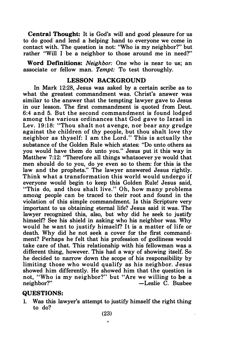Central Thought: It is God's will and good pleasure for us to do good and lend a helping hand to everyone we come in contact with. The question is not: "Who is my neighbor?" but rather "Will I be a neighbor to those around me in need?"

Word Definitions: Neighbor: One who is near to us; an associate or fellow man. Tempt: To test thoroughly.

## LESSON BACKGROUND

In Mark 12:28, Jesus was asked by a certain scribe as to what the greatest commandment was. Christ's answer was similar to the answer that the tempting lawyer gave to Jesus in our lesson. The first commandment is quoted from Deut. 6:4 and 5. But the second commandment is found lodged among the various ordinances that God gave to Israel in Lev. 19:18: "Thou shalt not avenge, nor bear any grudge against the children of thy people, but thou shalt love thy neighbor as thyself: I am the Lord." This is actually the substance of the Golden Rule which states: "Do unto others as you would have them do unto you." Jesus put it this way in Matthew 7:12: "Therefore all things whatsoever ye would that men should do to you, do ye even so to them: for this is the law and the prophets." The lawyer answered Jesus rightly. Think what a transformation this world would undergo if everyone would begin to keep this Golden Rule! Jesus said, "This do, and thou shalt live." Oh, how many problems among people can be traced to their root and found in the violation of this simple commandment. Is this Scripture very important to us obtaining eternal life? Jesus said it was. The lawyer recognized this, also, but why did he seek to justify himself? See his shield in asking who his neighbor was. Why would he want to justify himself? It is a matter of life or death. Why did he not seek a cover for the first commandment? Perhaps he felt that his profession of godliness would take care of that. This relationship with his fellowman was a different thing, however. This had a way of showing itself. So he decided to narrow down the scope of his responsibility by limiting those who would qualify as his neighbor. Jesus showed him differently. He showed him that the question is not, "Who is my neighbor?" but "Are we willing to be a  $-L$ eslie C. Busbee

#### QUESTIONS:

1. Was this lawyer's attempt to justify himself the right thing to do?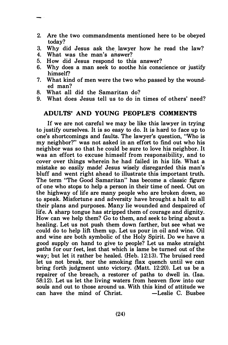- 2. Are the two commandments mentioned here to be obeyed today?
- 3. Why did Jesus ask the lawyer how he read the law?
- 4. What was the man's answer?
- 5. How did Jesus respond to this answer?
- 6. Why does a man seek to soothe his conscience or justify himself?
- 7. What kind of men were the two who passed by the wounded man?
- 8. What all did the Samaritan do?
- 9. What does Jesus tell us to do in times of others' need?

#### ADULTS' AND YOUNG PEOPLE'S COMMENTS

If we are not careful we may be like this lawyer in trying to justify ourselves. It is so easy to do. It is hard to face up to one's shortcomings and faults. The lawyer's question, "Who is my neighbor?" was not asked in an effort to find out who his neighbor was so that he could be sure to love his neighbor. It was an effort to excuse himself from responsibility, and to cover over things wherein he had failed in his life. What a mistake so easily made! Jesus wisely disregarded this man's bluff and went right ahead to illustrate this important truth. The term "The Good Samaritan" has become a classic figure of one who stops to help a person in their time of need. Out on the highway of life are many people who are broken down, so to speak. Misfortune and adversity have brought a halt to all their plans and purposes. Many lie wounded and despaired of life. A sharp tongue has stripped them of courage and dignity. How can we help them? Go to them, and seek to bring about a healing. Let us not push them down farther, but see what we could do to help lift them up. Let us pour in oil and wine. Oil and wine are both symbolic of the Holy Spirit. Do we have <sup>a</sup> good supply on hand to give to people? Let us make straight paths for our feet, lest that which is lame be turned out of the way; but let it rather be healed. (Heb. 12:13). The bruised reed let us not break, nor the smoking flax quench until we can bring forth judgment unto victory. (Matt. 12:20). Let us be a repairer of the breach, a restorer of paths to dwell in. (Isa. 58: 12). Let us let the living waters from heaven flow into our souls and out to those around us. With this kind of attitude we can have the mind of Christ. -Leslie C. Busbee can have the mind of Christ.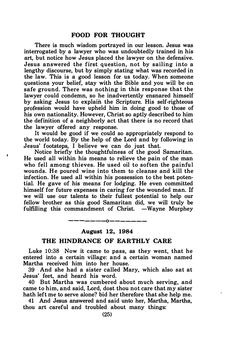There is much wisdom portrayed in our lesson. Jesus was interrogated by a lawyer who was undoubtedly trained in his art, but notice how Jesus placed the lawyer on the defensive. Jesus answered the first question, not by sailing into a lengthy discourse, but by simply stating what was recorded in the law. This is a good lesson for us today. When someone questions your belief, stay with the Bible and you will be on safe ground. There was nothing in this response that the lawyer could condemn, so he inadvertently ensnared himself by asking Jesus to explain the Scripture. His self-righteous profession would have upheld him in doing good to those of his own nationality. However, Christ so aptly described to him the definition of a neighborly act that there is no record that the lawyer offered any response.

It would be good if we could so appropriately respond to the world today. By the help of the lord and by following in Jesus' footsteps, I believe we can do just that.

Notice briefly the thoughtfulness of the good Samaritan. He used all within his means to relieve the pain of the man who fell among thieves. He used oil to soften the painful wounds. He poured wine into them to cleanse and kill the infection. He used all within his possession to the best potential. He gave of his means for lodging. He even committed himself for future expenses in caring for the wounded man. If we will use our talents to their fullest potential to help our fellow brother as this good Samaritan did, we will truly be fulfilling this commandment of Christ.  $-Wayne$  Murphey

## ————————————— August 12, 1984

#### THE HINDRANCE OF EARTHLY CARE

Luke 10:38 Now it came to pass, as they went, that he entered into a certain village: and a certain woman named Martha received him into her house.

39 And she had a sister called Mary, which also sat at Jesus' feet, and heard his word.

40 But Martha was cumbered about much serving, and came to him, and said, lord, dost thou not care that my sister hath left me to serve alone? bid her therefore that she help me.

41 And Jesus answered and said unto her, Martha, Martha, thou art careful and troubled about many things: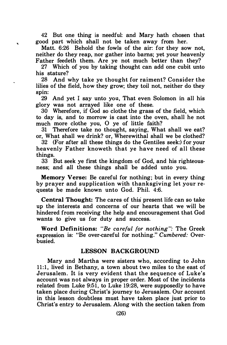42 But one thing is needful: and Mary hath chosen that good part which shall not be taken away from her.

k.

Matt. 6:26 Behold the fowls of the air: for they sow not, neither do they reap, nor gather into barns; yet your heavenly Father feedeth them. Are ye not much better than they?

27 Which of you by taking thought can add one cubit unto his stature?

28 And why take ye thought for raiment? Consider the lilies of the field, how they grow; they toil not, neither do they spin:

29 And yet I say unto you, That even Solomon in all his glory was not arrayed like one of these.

30 Wherefore, if God so clothe the grass of the field, which to day is, and to morrow is cast into the oven, shall he not much more clothe you, 0 ye of little faith?

31 Therefore take no thought, saying, What shall we eat? or, What shall we drink? or, Wherewithal shall we be clothed?

32 (For after all these things do the Gentiles seek:) for your heavenly Father knoweth that ye have need of all these things.

33 But seek ye first the kingdom of God, and his righteousness; and all these things shall be added unto you.

Memory Verse: Be careful for nothing; but in every thing by prayer and supplication with thanksgiving let your requests be made known unto God. Phil. 4:6.

Central Thought: The cares of this present life can so take up the interests and concerns of our hearts that we will be hindered from receiving the help and encouragement that God wants to give us for duty and success.

Word Definitions: "Be careful for nothing ": The Greek expression is: "Be over-careful for nothing." Cumbered: Overbusied.

#### LESSON BACKGROUND

Mary and Martha were sisters who, according to John 11:1, lived in Bethany, a town about two miles to the east of Jerusalem. It is very evident that the sequence of Luke's account was not always in proper order. Most of the incidents related from Luke 9:51, to Luke 19:28, were supposedly to have taken place during Christ's journey to Jerusalem. Our account in this lesson doubtless must have taken place just prior to Christ's entry to Jerusalem. Along with the section taken from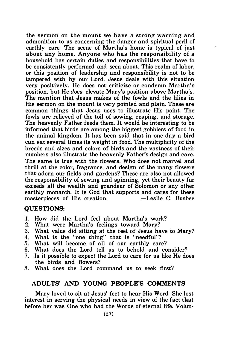the sermon on the mount we have a strong warning and admonition to us concerning the danger and spiritual peril of earthly care. The scene of Martha's home is typical of just about any home. Anyone who has the responsibility of a household has certain duties and responsibilities that have to be consistently performed and seen about. This realm of labor, or this position of leadership and responsibility is not to be tampered with by our Lord. Jesus deals with this situation very positively. He does not criticize or condemn Martha's position, but He does elevate Mary's position above Martha's. The mention that Jesus makes of the fowls and the lilies in His sermon on the mount is very pointed and plain. These are common things that Jesus uses to illustrate His point. The fowls are relieved of the toil of sowing, reaping, and storage. The heavenly Father feeds them. It would be interesting to be informed that birds are among the biggest gobblers of food in the animal kingdom. It has been said that in one day a bird can eat several times its weight in food. The multiplicity of the breeds and sizes and colors of birds and the vastness of their numbers also illustrate the heavenly Father's design and care. The same is true with the flowers. Who does not marvel and thrill at the color, fragrance, and design of the many flowers that adorn our fields and gardens? These are also not allowed the responsibility of sewing and spinning, yet their beauty far exceeds all the wealth and grandeur of Solomon or any other earthly monarch. It is God that supports and cares for these masterpieces of His creation. - -Leslie C. Busbee

#### QUESTIONS:

- 1. How did the Lord feel about Martha's work?
- 2. What were Martha's feelings toward Mary?
- 3. What value did sitting at the feet of Jesus have to Mary?
- 4. What is the "one thing" that is "needful"?
- 5. What will become of all of our earthly care?
- 6. What does the Lord tell us to behold and consider?
- 7. Is it possible to expect the Lord to care for us like He does the birds and flowers?
- 8. What does the Lord command us to seek first?

#### ADULTS' AND YOUNG PEOPLE'S COMMENTS

Mary loved to sit at Jesus' feet to hear His Word. She lost interest in serving the physical needs in view of the fact that before her was One who had the Words of eternal life. Volun-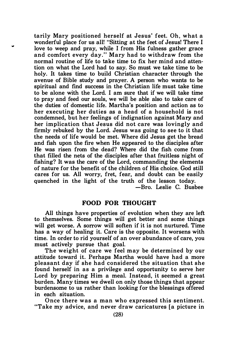tarily Mary positioned herself at Jesus' feet. Oh, what a wonderful place for us all! "Sitting at the feet of Jesus! There I love to weep and pray, while I from His fulness gather grace and comfort every day." Mary had to withdraw from the normal routine of life to take time to fix her mind and attention on what the Lord had to say. So must we take time to be holy. It takes time to build Christian character through the avenue of Bible study and prayer. A person who wants to be spiritual and find success in the Christian life must take time to be alone with the Lord. I am sure that if we will take time to pray and feed our souls, we will be able also to take care of the duties of domestic life. Martha's position and action as to her executing her duties as a head of a household is not condemned, but her feelings of indignation against Mary and her implication that Jesus did not care was lovingly and firmly rebuked by the Lord. Jesus was going to see to it that the needs of life would be met. Where did Jesus get the bread and fish upon the fire when He appeared to the disciples after He was risen from the dead? Where did the fish come from that filled the nets of the disciples after that fruitless night of fishing? It was the care of the Lord, commanding the elements of nature for the benefit of the children of His choice. God still cares for us. All worry, fret, fear, and doubt can be easily quenched in the light of the truth of the lesson today. -Bro. Leslie C. Busbee

## FOOD FOR THOUGHT

All things have properties of evolution when they are left to themselves. Some things will get better and some things will get worse. A sorrow will soften if it is not nurtured. Time has a way of healing it. Care is the opposite. It worsens with time. In order to rid yourself of an over abundance of care, you must actively pursue that goal.

The weight of care we feel may be determined by our attitude toward it. Perhaps Martha would have had a more pleasant day if she had considered the situation that she found herself in as a privilege and opportunity to serve her Lord by preparing Him a meal. Instead, it seemed a great burden. Many times we dwell on only those things that appear burdensome to us rather than looking for the blessings offered in each situation.

Once there was a man who expressed this sentiment. "Take my advice, and never draw caricatures [a picture in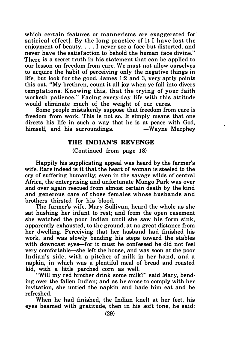which certain features or mannerisms are exaggerated for satirical effect]. By the long practice of it I have lost the enjoyment of beauty. . . . I never see a face but distorted, and never have the satisfaction to behold the human face divine." There is a secret truth in his statement that can be applied to our lesson on freedom from care. We must not allow ourselves to acquire the habit of perceiving only the negative things in life, but look for the good. James 1:2 and 3, very aptly points this out. "My brethren, count it all joy when ye fall into divers tem ptations; Knowing this, that the trying of your faith worketh patience." Facing every-day life with this attitude would eliminate much of the weight of our cares.

Some people mistakenly suppose that freedom from care is freedom from work. This is not so. It simply means that one directs his life in such a way that he is at peace with God,<br>himself, and his surroundings. — Wayne Murphey himself, and his surroundings.

## THE INDIAN'S REVENGE

(Continued from page 18)

Happily his supplicating appeal was heard by the farmer's wife. Rare indeed is it that the heart of woman is steeled to the cry of suffering humanity; even in the savage wilds of central Africa, the enterprising and unfortunate Mungo Park was over and over again rescued from almost certain death by the kind and generous care of those females whose husbands and brothers thirsted for his blood.

The farmer's wife, Mary Sullivan, heard the whole as she sat hushing her infant to rest; and from the open casement she watched the poor Indian until she saw his form sink, apparently exhausted, to the ground, at no great distance from her dwelling. Perceiving that her husband had finished his work, and was slowly bending his steps toward the stables with downcast eyes-for it must be confessed he did not feel very comfortable-she left the house, and was soon at the poor Indian's side, with a pitcher of milk in her hand, and a napkin, in which was a plentiful meal of bread and roasted kid, with a little parched com as well.

"Will my red brother drink some milk?" said Mary, bending over the fallen Indian; and as he arose to comply with her invitation, she untied the napkin and bade him eat and be refreshed.

When he had finished, the Indian knelt at her feet, his eyes beamed with gratitude, then in his soft tone, he said: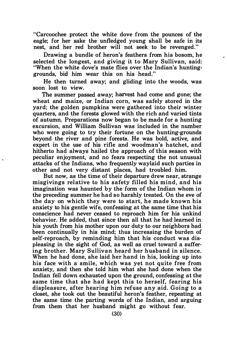"Carcoochee protect the white dove from the pounces of the eagle; for her sake the unfledged young shall be safe in its nest, and her red brother will not seek to be revenged."

Drawing a bundle of heron's feathers from his bosom, he selected the longest, and giving it to Mary Sullivan, said: "When the white dove's mate flies over the Indian's huntinggrounds, bid him wear this on his head."

He then turned away; and gliding into the woods, was soon lost to view.

The summer passed away; harvest had come and gone; the wheat and maize, or Indian corn, was safely stored in the yard; the golden pumpkins were gathered into their winter quarters, and the forests glowed with the rich and varied tints of autumn. Preparations now began to be made for a hunting excursion, and William Sullivan was included in the number who were going to try their fortune on the hunting-grounds beyond the river and pine forests. He was bold, active, and expert in the use of his rifle and woodman's hatchet, and hitherto had always hailed the approach of this season with peculiar enjoyment, and no fears respecting the not unusual attacks of the Indians, who frequently waylaid such parties in other and not very distant places, had troubled him.

But now, as the time of their departure drew near, strange misgivings relative to his safety filled his mind, and his imagination was haunted by the form of the Indian whom in the preceding summer he had so harshly treated. On the eve of the day on which they were to start, he made known his anxiety to his gentle wife, confessing at the same time that his conscience had never ceased to reproach him for his unkind behavior. He added, that since then all that he had learned in his youth from his mother upon our duty to our neighbors had been continually in his mind; thus increasing the burden of self-reproach, by reminding him that his conduct was displeasing in the sight of God, as well as cruel toward a suffering brother. Mary Sullivan heard her husband in silence. When he had done, she laid her hand in his, looking up into his face with a smile, which was yet not quite free from anxiety, and then she told him what she had done when the Indian fell down exhausted upon the ground, confessing at the same time that she had kept this to herself, fearing his displeasure, after hearing him refuse any aid. Going to a closet, she took out the beautiful heron's feather, repeating at the same time the parting words of the Indian, and arguing from them that her husband might go without fear.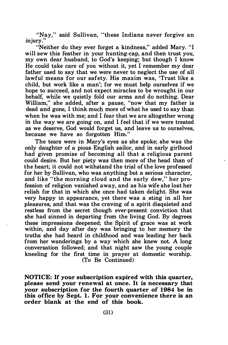"Nay," said Sullivan, "these Indians never forgive an injury."

"Neither do they ever forget a kindness," added Mary. "I will sew this feather in your hunting-cap, and then trust you, my own dear husband, to God's keeping; but though I know He could take care of you without it, yet I remember my dear father used to say that we were never to neglect the use of all lawful means for our safety. His maxim was, 'Trust like a child, but work like a man'; for we must help ourselves if we hope to succeed, and not expect miracles to be wrought in our behalf, while we quietly fold our arms and do nothing. Dear William," she added, after a pause, "now that my father is dead and gone, I think much more of what he used to say than when he was with me; and I fear that we are altogether wrong in the way we are going on, and I feel that if we were treated as we deserve, God would forget us, and leave us to ourselves, because we have so forgotten Him."

The tears were in Mary's eyes as she spoke; she was the only daughter of a pious English sailor, and in early girlhood had given promise of becoming all that a religious parent could desire. But her piety was then more of the head than of the heart; it could not withstand the trial of the love professed for her by Sullivan, who was anything but a serious character, and like "the morning cloud and the early dew," her profession of religion vanished away, and as his wife she lost her relish for that in which she once had taken delight. She was very happy in appearance, yet there was a sting in all her pleasures, and that was the craving of a spirit disquieted and restless from the secret though ever-present conviction that she had sinned in departing from the living God. By degrees these impressions deepened; the Spirit of grace was at work within, and day after day was bringing to her memory the truths she had heard in childhood and was leading her back from her wanderings by a way which she knew not. A long conversation followed; and that night saw the young couple kneeling for the first time in prayer at domestic worship. (To Be Continued)

NOTICE: If your subscription expired with this quarter, please send your renewal at once. It is necessary that your subscription for the fourth quarter of 1984 be in this office by Sept. 1. For your convenience there is an order blank at the end of this book.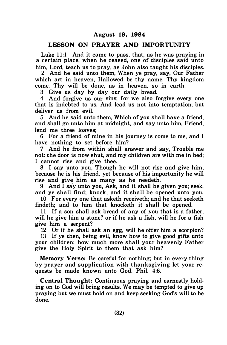#### LESSON ON PRAYER AND IMPORTUNITY

Luke  $11:1$  And it came to pass, that, as he was praying in a certain place, when he ceased, one of disciples said unto him, Lord, teach us to pray, as John also taught his disciples.

2 And he said unto them, When ye pray, say, Our Father which art in heaven, Hallowed be thy name. Thy kingdom come. Thy will be done, as in heaven, so in earth.

3 Give us day by day our daily bread.

4 And forgive us our sins; for we also forgive every one that is indebted to us. And lead us not into temptation; but deliver us from evil.

5 And he said unto them, Which of you shall have a friend, and shall go unto him at midnight, and say unto him, Friend, lend me three loaves;

6 For a friend of mine in his journey is come to me, and I have nothing to set before him?

7 And he from within shall answer and say, Trouble me not: the door is now shut, and my children are with me in bed; I cannot rise and give thee.

8 I say unto you, Though he will not rise and give him, because he is his friend, yet because of his importunity he will rise and give him as many as he needeth.

9 And  $\overline{I}$  say unto you, Ask, and it shall be given you; seek, and ye shall find; knock, and it shall be opened unto you.

10 For every one that asketh receiveth; and he that seeketh findeth; and to him that knocketh it shall be opened.

11 If a son shall ask bread of any of you that is a father, will he give him a stone? or if he ask a fish, will he for a fish give him a serpent?

12 Or if he shall ask an egg, will he offer him a scorpion?

13 If ye then, being evil, know how to give good gifts unto your children: how much more shall your heavenly Father give the Holy Spirit to them that ask him?

Memory Verse: Be careful for nothing; but in every thing by prayer and supplication with than ksgiving let your requests be made known unto God. Phil. 4:6.

Central Thought: Continuous praying and earnestly holding on to God will bring results. We may be tempted to give up praying but we must hold on and keep seeking God's will to be done.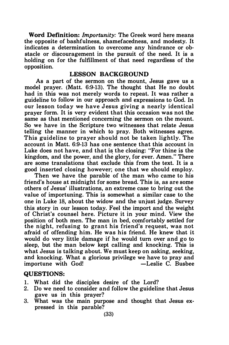Word Definition: *Importunity*: The Greek word here means the opposite of bashfulness, shamefacedness, and modesty. It indicates a determination to overcome any hindrance or obstacle or discouragement in the pursuit of the need. It is a holding on for the fulfillment of that need regardless of the opposition.

#### LESSON BACKGROUND

As a part of the sermon on the mount, Jesus gave us a model prayer. (Matt. 6:9-13). The thought that He no doubt had in this was not merely words to repeat. It was rather a guideline to follow in our approach and expressions to God. In our lesson today we have J esus giving a nearly identical prayer form. It is very evident that this occasion was not the same as that mentioned concerning the sermon on the mount. So we have in the Scripture two witnesses that relate Jesus telling the manner in which to pray. Both witnesses agree. This guideline to prayer should not be taken lightly. The account in Matt. 6:9-13 has one sentence that this account in Luke does not have, and that is the closing: "For thine is the kingdom, and the power, and the glory, for ever. Amen." There are some translations that exclude this from the text. It is a good inserted closing however; one that we should employ.

Then we have the parable of the man who came to his friend's house at midnight for some bread. This is, as are some others of Jesus' illustrations, an extreme case to bring out the value of importuning. This is somewhat a similar case to the one in Luke 18, about the widow and the unjust judge. Survey this story in our lesson today. Feel the import and the weight of Christ's counsel here. Picture it in your mind. View the position of both men. The man in bed, comfortably settled for the night, refusing to grant his friend's request, was not afraid of offending him. He was his friend. He knew that it would do very little damage if he would tum over and go to sleep, but the man below kept calling and knocking. This is what Jesus is talking about. We must keep on asking, seeking, and knocking. What a glorious privilege we have to pray and importune with God! -Leslie C. Busbee

#### QUESTIONS:

- 1. What did the disciples desire of the Lord?
- 2. Do we need to consider and follow the guideline that Jesus gave us in this prayer?
- 3. What was the main purpose and thought that Jesus expressed in this parable?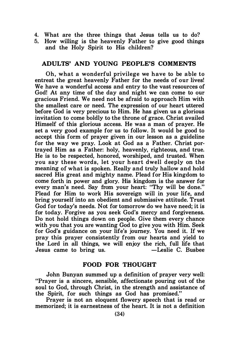- 4. What are the three things that Jesus tells us to do?
- 5. How willing is the heavenly Father to give good things and the Holy Spirit to His children?

#### ADULTS' AND YOUNG PEOPLE'S COMMENTS

Oh, what a wonderful privilege we h ave to be able to entreat the great heavenly Father for the needs of our lives! We have a wonderful access and entry to the vast resources of God! At any time of the day and night we can come to our gracious Friend. We need not be afraid to approach Him with the smallest care or need. The expression of our heart uttered before God is very precious to Him. He has given us a glorious invitation to come boldly to the throne of grace. Christ availed Himself of this glorious access. He was a man of prayer. He set a very good example for us to follow. It would be good to accept this form of prayer given in our lesson as a guideline for the way we pray. Look at God as a Father. Christ portrayed Him as a Father: holy, heavenly, righteous, and true. He is to be respected, honored, worshiped, and trusted. When you say these words, let your heart dwell deeply on the meaning of what is spoken. Really and truly hallow and hold sacred His great and mighty name. Plead for His kingdom to come forth in power and glory. His kingdom is the answer for every man's need. Say from your heart: "Thy will be done." Plead for Him to work His sovereign will in your life, and bring yourself into an obedient and submissive attitude. Trust God for today's needs. Not for tomorrow do we have need; it is for today. Forgive as you seek God's mercy and forgiveness. Do not hold things down on people. Give them every chance with you that you are wanting God to give you with Him. Seek for God's guidance on your life's journey. You need it. If we pray this prayer consistently from our hearts and yield to the Lord in all things, we will enjoy the rich, full life that  $J$  lesus came to bring us.  $-I$  eslie C. Bushee Jesus came to bring us.

## FOOD FOR THOUGHT

John Bunyan summed up a definition of prayer very well: "Prayer is a sincere, sensible, affectionate pouring out of the soul to God, through Christ, in the strength and assistance of the Spirit, for such things as God has promised."

Prayer is not an eloquent flowery speech that is read or memorized; it is earnestness of the heart. It is not a definition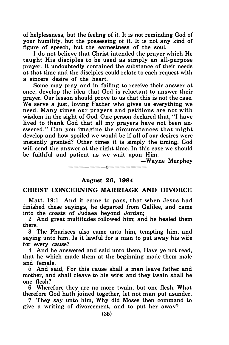of helplessness, but the feeling of it. It is not reminding God of your humility, but the possessing of it. It is not any kind of figure of speech, but the earnestness of the soul.

I do not believe that Christ intended the prayer which He taught His disciples to be used as simply an all-purpose prayer. It undoubtedly contained the substance of their needs at that time and the disciples could relate to each request with a sincere desire of the heart.

Some may pray and in failing to receive their answer at once, develop the idea that God is reluctant to answer their prayer. Our lesson should prove to us that this is not the case. We serve a just, loving Father who gives us everything we need. Many times our prayers and petitions are not with wisdom in the sight of God. One person declared that, "I have lived to thank God that all my prayers have not been answered." Can you imagine the circumstances that might develop and how spoiled we would be if all of our desires were instantly granted? Other times it is simply the timing. God will send the answer at the right time. In this case we should be faithful and patient as we wait upon Him.

-Wayne Murphey

# -------0------- August 26, 1984

#### CHRIST CONCERNING MARRIAGE AND DIVORCE

Matt. 19:1 And it came to pass, that when Jesus had finished these sayings, he departed from Galilee, and came into the coasts of Judaea beyond Jordan;

2 And great multitudes followed him; and he healed them<br>there. there.

3 The Pharisees also came unto him, tempting him, and saying unto him, Is it lawful for a man to put away his wife for every cause?

4 And he answered and said unto them, Have ye not read, that he which made them at the beginning made them male and female,

5 And said, For this cause shall a man leave father and mother, and shall cleave to his wife: and they twain shall be one flesh?

6 Wherefore they are no more twain, but one flesh. What therefore God hath joined together, let not man put asunder.

7 They say unto him, Why did Moses then command to give a writing of divorcement, and to put her away?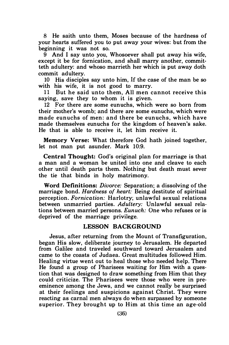8 He saith unto them, Moses because of the hardness of your hearts suffered you to put away your wives: but from the beginning it was not so.

9 And I say unto you, Whosoever shall put away his wife, except it be for fornication, and shall marry another, committeth adultery: and whoso marrieth her which is put away doth commit adultery.

10 His disciples say unto him, If the case of the man be so with his wife, it is not good to marry.

11 But he said unto them, All men cannot receive this saying, save they to whom it is given.

12 For there are some eunuchs, which were so born from their mother's womb; and there are some eunuchs, which were made eunuchs of men: and there be eunuchs, which have made themselves eunuchs for the kingdom of heaven's sake. He that is able to receive it, let him receive it.

Memory Verse: What therefore God hath joined together, let not man put asunder. Mark 10:9.

Central Thought: God's original plan for marriage is that a man and a woman be united into one and cleave to each other until death parts them. Nothing but death must sever the tie that binds in holy matrimony.

Word Definitions: Divorce: Separation; a dissolving of the marriage bond. Hardness of heart: Being destitute of spiritual perception. Fornication: Harlotry; unlawful sexual relations between unmarried parties. Adultery: Unlawful sexual relations between married persons. Eunuch: One who refuses or is deprived of the marriage privilege.

#### LESSON BACKGROUND

Jesus, after returning from the Mount of Transfiguration, began His slow, deliberate journey to Jerusalem. He departed from Galilee and traveled southward toward Jerusalem and came to the coasts of Judaea. Great multitudes followed Him. Healing virtue went out to heal those who needed help. There He found a group of Pharisees waiting for Him with a question that was designed to draw something from Him that they could criticize. The Pharisees were those who were in preeminence among the Jews, and we cannot really be surprised at their feelings and suspicions against Christ. They were reacting as carnal men always do when surpassed by someone superior. They brought up to Him at this time an age-old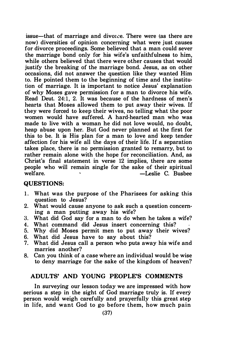issue—that of marriage and divorce. There were (as there are now) diversities of opinion concerning what were just causes for divorce proceedings. Some believed that a man could sever the marriage bond only for his wife's unfaithfulness to him, while others believed that there were other causes that would justify the breaking of the marriage bond. Jesus, as on other occasions, did not answer the question like they wanted Him to. He pointed them to the beginning of time and the institution of marriage. It is important to notice Jesus' explanation of why Moses gave permission for a man to divorce his wife. Read Deut. 24:1, 2. It was because of the hardness of men's hearts that Moses allowed them to put away their wives. If they were forced to keep their wives, no telling what the poor women would have suffered. A hard-hearted man who was made to live with a woman he did not love would, no doubt, heap abuse upon her. But God never planned at the first for this to be. It is His plan for a man to love and keep tender affection for his wife all the days of their life. If a separation takes place, there is no permission granted to remarry, but to rather remain alone with the hope for reconciliation. And, as Christ's final statement in verse 12 implies, there are some people who will remain single for the sake of their spiritual welfare. The contract of the contract welfare.

#### QUESTIONS:

- 1. What was the purpose of the Pharisees for asking this question to Jesus?
- 2. What would cause anyone to ask such a question concerning a man putting away his wife?
- 3. What did God say for a man to do when he takes a wife?
- 4. What command did Jesus insert concerning this?
- 5. Why did Moses permit men to put away their wives?
- 6. What did Jesus have to say about this?
- 7. What did Jesus call a person who puts away his wife and marries another?
- 8. Can you think of a case where an individual would be wise to deny marriage for the sake of the kingdom of heaven?

#### ADULTS' AND YOUNG PEOPLE'S COMMENTS

In surveying our lesson today we are impressed with how serious a step in the sight of God marriage truly is. If every person would weigh carefully and prayerfully this great step in life, and want God to go before them, how much pain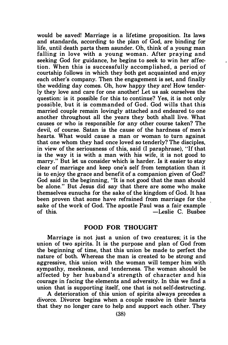would be saved! Marriage is a lifetime proposition. Its laws and standards, according to the plan of God, are binding for life, until death parts them asunder. Oh, think of a young man falling in love with a young woman. After praying and seeking God for guidance, he begins to seek to win her affection. When this is successfully accomp lished, a period of courtship follows in which they both get acquainted and enjoy each other's company. Then the engagement is set, and finally the wedding day comes. Oh, how happy they are! How tenderly they love and care for one another! Let us ask ourselves the question: is it possible for this to continue? Yes, it is not only possible, but it is commanded of God. God wills that this married couple remain lovingly attached and endeared to one another throughout all the years they both shall live. What causes or who is responsible for any other course taken? The devil, of course. Satan is the cause of the hardness of men's hearts. What would cause a man or woman to turn against that one whom they had once loved so tenderly? The disciples, in view of the seriousness of this, said (I paraphrase), "If that is the way it is with a man with his wife, it is not good to marry." But let us consider which is harder. Is it easier to stay clear of marriage and keep one's self from temptation than it is to enjoy the grace and benefit of a companion given of God? God said in the beginning, "It is not good that the man should be alone." But Jesus did say that there are some who make themselves eunuchs for the sake of the kingdom of God. It has been proven that some have refrained from marriage for the sake of the work of God. The apostle Paul was a fair example<br>of this.  $\begin{array}{cc} -\text{L} & \text{Euler} \\ -\text{L} & \text{Euler} \end{array}$ -Leslie C. Busbee

#### FOOD FOR THOUGHT

Marriage is not just a union of two creatures; it is the union of two spirits. It is the purpose and plan of God from the beginning of time, that this union be made to perfect the nature of both. Whereas the man is created to be strong and aggressive, this union with the woman will temper him with sympathy, meekness, and tenderness. The woman should be affected by her husband's strength of character and his courage in facing the elements and adversity. In this we find a union that is supporting itself, one that is not self-destructing.

A deterioration of this union of spirits always precedes a divorce. Divorce begins when a couple resolve in their hearts that they no longer care to help and support each other. They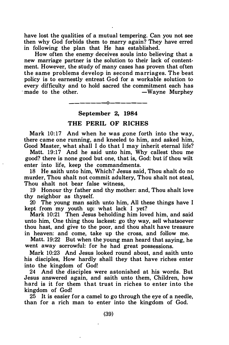have lost the qualities of a mutual tempering. Can you not see then why God forbids them to marry again? They have erred in following the plan that He has established.

How often the enemy deceives souls into believing that a new marriage partner is the solution to their lack of contentment. However. the study of many cases has proven that often the same problems develop in second marriages. The best policy is to earnestly entreat God for a workable solution to every difficulty and to hold sacred the commitment each has made to the other.  $-$ Wavne Murphev made to the other.

#### -------0-------

#### September 2, 1984

#### THE PERIL OF RICHES

Mark 10:17 And when he was gone forth into the way, there came one running. and kneeled to him, and asked him, Good Master. what shall I do that I may inherit eternal life?

Matt. 19:17 And he said unto him. Why callest thou me good? there is none good but one. that is, God: but if thou wilt enter into life. keep the commandments.

l.

18 He saith unto him. Which? Jesus said. Thou shalt do no murder. Thou shalt not commit adultery, Thou shalt not steal, Thou shalt not bear false witness.

19 Honour thy father and thy mother: and. Thou shalt love thy neighbor as thyself.

20 The young man saith unto him. All these things have I kept from my youth up: what lack I yet?

Mark 10:21 Then Jesus beholding him loved him, and said unto him. One thing thou lackest: go thy way. sell whatsoever thou hast. and give to the poor. and thou shalt have treasure in heaven: and come, take up the cross. and follow me.

Matt. 19:22 But when the young man heard that saying, he went away sorrowful: for he had great possessions.

Mark 10:23 And Jesus looked round about, and saith unto his disciples, How hardly shall they that have riches enter into the kingdom of God!

24 And the disciples were astonished at his words. But Jesus answered again, and saith unto them. Children. how hard is it for them that trust in riches to enter into the kingdom of God!

25 It is easier for a camel to go through the eye of a needle, than for a rich man to enter into the kingdom of God.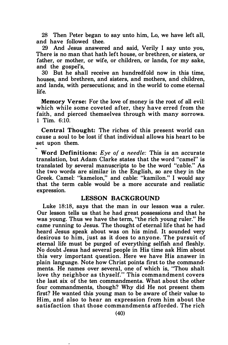28 Then Peter began to say unto him, Lo, we have left all, and have followed thee.

29 And Jesus answered and said, Verily I say unto you, There is no man that hath left house, or brethren, or sisters, or father, or mother, or wife, or children, or lands, for my sake, and the gospel's,

30 But he shall receive an hundredfold now in this time, houses, and brethren, and sisters, and mothers, and children, and lands, with persecutions; and in the world to come eternal life.

Memory Verse: For the love of money is the root of all evil: which while some coveted after, they have erred from the faith, and pierced themselves through with many sorrows. 1 Tim. 6:10.

Central Thought: The riches of this present world can cause a soul to be lost if that individual allows his heart to be set upon them.

Word Definitions: Eye of a needle: This is an accurate translation, but Adam Clarke states that the word "camel" is translated by several manuscripts to be the word "cable." As the two words are similar in the English, so are they in the Greek. Camel: "kamelon," and cable: "kamilon." I would say that the term cable would be a more accurate and realistic expression.

#### LESSON BACKGROUND

Luke 18:18, says that the man in our lesson was a ruler. Our lesson tells us that he had great possessions and that he was young. Thus we have the term, "the rich young ruler." He came running to Jesus. The thought of eternal life that he had heard Jesus speak about was on his mind. It sounded very desirous to him, just as it does to anyone. The pursuit of eternal life must be purged of everything selfish and fleshly. No doubt Jesus had several people in His time ask Him about this very important question. Here we have His answer in plain language. Note how Christ points first to the commandments. He names over several, one of which is, "Thou shalt love thy neighbor as thyself." This commandment covers the last six of the ten commandments. What about the other four commandments, though? Why did He not present them first? He wanted this young man to be aware of their value to Him, and also to hear an expression from him about the satisfaction that those commandments afforded. The rich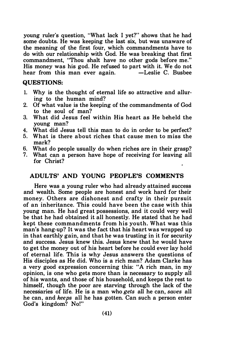young ruler's question, "What lack I yet?" shows that he had some doubts. He was keeping the last six, but was unaware of the meaning of the first four, which commandments have to do with our relationship with God. He was breaking that first commandment, "Thou shalt have no other gods before me." His money was his god. He refused to part with it. We do not hear from this man ever again  $-$ Leslie C. Bushee hear from this man ever again.

#### QUESTIONS:

- 1. Why is the thought of eternal life so attractive and alluring to the human mind?
- 2. Of what value is the keeping of the commandments of God to the soul of man?
- 3. What did Jesus feel within His heart as He beheld the young man?
- 4. What did Jesus tell this man to do in order to be perfect?<br>5. What is there about riches that cause men to miss the
- What is there about riches that cause men to miss the mark?
- 6. What do people usually do when riches are in their grasp?<br>7. What can a person have hope of receiving for leaving all
- What can a person have hope of receiving for leaving all for Christ?

## ADULTS' AND YOUNG PEOPLE'S COMMENTS

Here was a young ruler who had already attained success and wealth. Some people are honest and work hard for their money. Others are dishonest and crafty in their pursuit of an inheritance. This could have been the case with this young man. He had great possessions, and it could very well be that he had obtained it all honestly. He stated that he had kept these commandments from his youth. What was this man's hang-up? It was the fact that his heart was wrapped up in that earthly gain, and that he was trusting in it for security and success. Jesus knew this. Jesus knew that he would have to get the money out of his heart before he could ever lay hold of eternal life. This is why Jesus answers the questions of His disciples as He did. Who is a rich man? Adam Clarke has a very good expression concerning this: "A rich man, in my opinion, is one who gets more than is necessary to supply all of his wants, and those of his household, and keeps the rest to himself, though the poor are starving through the lack of the necessaries of life. He is a man who gets all he can, saves all he can, and keeps all he has gotten. Can such a person enter God's kingdom? No!"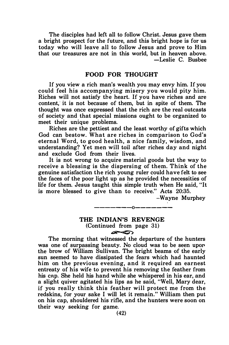The disciples had left all to follow Christ. Jesus gave them a bright prospect for the future, and this bright hope is for us today who will leave all to follow Jesus and prove to Him that our treasures are not in this world, but in heaven above. -Leslie C. Busbee

#### FOOD FOR THOUGHT

If you view a rich man's wealth you may envy him. If you could feel his accompanying misery you would pity him. Riches will not satisfy the heart. If you have riches and are content, it is not because of them, but in spite of them. The thought was once expressed that the rich are the real outcasts 9f society and that special missions ought to be organized to meet their unique problems.

Riches are the pettiest and the least worthy of gifts which God can bestow. What are riches in comparison to God's eternal Word, to good health, a nice family, wisdom, and understanding? Yet men will toil after riches day and night and exclude God from their lives.

It is not wrong to acquire material goods but the way to receive a blessing is the dispersing of them. Think of the genuine satisfaction the rich young ruler could have felt to see the faces of the poor light up as he provided the necessities of life for them. Jesus taught this simple truth when He said, "It is more blessed to give than to receive." Acts 20:35.

--Wayne Murphey

#### THE INDIAN'S REVENGE (Continued from page 31)  $\blacktriangle \clubsuit$

-------0-------

The morning that witnessed the departure of the hunters was one of surpassing beauty. No cloud was to be seen upor the brow of William Sullivan. The bright beams of the early sun seemed to have dissipated the fears which had haunted him on the previous evening, and it required an earnest entreaty of his wife to prevent his removing the feather from his cap. She held his hand while she whispered in his ear, and a slight quiver agitated his lips as he said, "Well, Mary dear, if you really think this feather will protect me from the redskins, for your sake I will let it remain." William then put on his cap, shouldered his rifle, and the hunters were soon on their way seeking for game.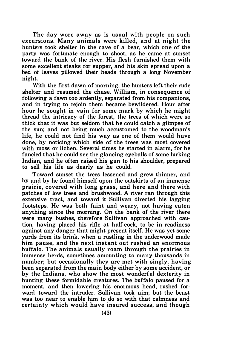The day wore away as is usual with people on such excursions. Many animals were killed, and at night the hunters took shelter in the cave of a bear, which one of the party was fortunate enough to shoot, as he came at sunset toward the bank of the river. His flesh furnished them with some excellent steaks for supper, and his skin spread upon a bed of leaves pillowed their heads through a long November night.

With the first dawn of morning, the hunters left their rude shelter and resumed the chase. William, in consequence of following a fawn too ardently, separated from his companions, and in trying to rejoin them became bewildered. Hour after hour he sought in vain for some mark by which he might thread the intricacy of the forest, the trees of which were so thick that it was but seldom that he could catch a glimpse of the sun; and not being much accustomed to the woodman's life, he could not find his way as one of them would have done, by noticing which side of the trees was most covered with moss or lichen. Several times he started in alarm, for he fancied that he could see the glancing eyeballs of some lurking Indian, and he often raised his gun to his shoulder, prepared to sell his life as dearly as he could.

Toward sunset the trees lessened and grew thinner, and by and by he found himself upon the outskirts of an immense prairie, covered with long grass, and here and there with patches of low trees and brushwood. A river ran through this extensive tract, and toward it Sullivan directed his lagging footsteps. He was both faint and weary, not having eaten anything since the morning. On the bank of the river there were many bushes, therefore Sullivan approached with caution, having placed his rifle at half-cock, to be in readiness against any danger that might present itself. He was yet some yards from its brink, when a rustling in the underwood made him pause, and the next instant out rushed an enormous buffalo. The animals usually roam through the prairies in immense herds, sometimes amounting to many thousands in number; but occasionally they are met with singly, having been separated from the main body either by some accident, or by the Indians, who show the most wonderful dexterity in hunting these formidable creatures. The buffalo paused for a moment, and then lowering his enormous head, rushed forward toward the intruder. Sullivan took aim; but the beast was too near to enable him to do so with that calmness and certainty which would have insured success, and though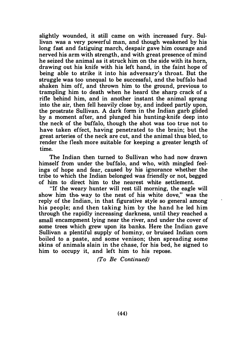slightly wounded, it still came on with increased fury. Sullivan was a very powerful man, and though weakened by his long fast and fatiguing march, despair gave him courage and nerved his arm with strength, and with great presence of mind he seized the animal as it struck him on the side with its horn, drawing out his knife with his left hand, in the faint hope of being able to strike it into his adversary's throat. But the struggle was too unequal to be successful, and the buffalo had shaken him off, and thrown him to the ground, previous to trampling him to death when he heard the sharp crack of a rifle behind him, and in another instant the animal sprang into the air, then fell heavily close by, and ind�ed partly upon, the prostrate Sullivan. A dark form in the Indian garb glided by a moment after, and plunged his hunting-knife deep into the neck of the buffalo, though the shot was too true not to have taken effect, having penetrated to the brain; but the great arteries of the neck are cut, and the animal thus bled, to render the flesh more suitable for keeping a greater length of time.

The Indian then turned to Sullivan who had now drawn himself from under the buffalo, and who, with mingled feelings of hope and fear, caused by his ignorance whether the tribe to which the Indian belonged was friendly or not, begged of him to direct him to the nearest white settlement.

"If the weary hunter will rest till morning, the eagle will show him the way to the nest of his white dove," was the reply of the Indian, in that figurative style so general among his people; and then taking him by the hand he led him through the rapidly increasing darkness, until they reached a small encampment lying near the river, and under the cover of some trees which grew upon its banks. Here the Indian gave Sullivan a plentiful supply of hominy, or bruised Indian corn boiled to a paste, and some venison; then spreading some skins of animals slain in the chase, for his bed, he signed to him to occupy it, and left him to his repose.

(To Be Continued)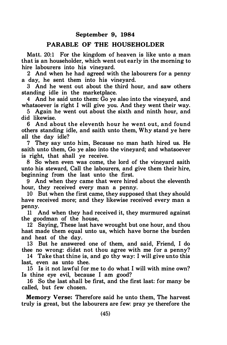#### PARABLE OF THE HOUSEHOLDER

Matt. 20:1 For the kingdom of heaven is like unto a man that is an householder, which went out early in the morning to hire labourers into his vineyard.

2 And when he had agreed with the labourers for a penny a day, he sent them into his vineyard.

3 And he went out about the third hour, and saw others standing idle in the marketplace.

4 And he said unto them: Go ye also into the vineyard, and whatsoever is right I will give you. And they went their way.

5 Again he went out about the sixth and ninth hour, and did likewise.

6 And about the eleventh hour he went out, and found others standing idle, and saith unto them, Why stand ye here all the day idle?

7 They say unto him, Because no man hath hired us. He saith unto them, Go ye also into the vineyard; and whatsoever is right, that shall ye receive.

8 So when even was come, the lord of the vineyard saith unto his steward, Call the labourers, and give them their hire, beginning from the last unto the first.

9 And when they came that were hired about the eleventh hour, they received every man a penny.

10 But when the first came, they supposed that they should have received more; and they likewise received every man a penny.

11 And when they had received it, they murmured against the goodman of the house,

12 Saying, These last have wrought but one hour, and thou hast made them equal unto us, which have borne the burden and heat of the day.

13 But he answered one of them, and said, Friend, I do thee no wrong: didst not thou agree with me for a penny?

14 Take that thine is, and go thy way: I will give unto this last, even as unto thee.

15 Is it not lawful for me to do what I will with mine own? Is thine eye evil, because I am good?

16 So the last shall be first, and the first last: for many be called, but few chosen.

Memory Verse: Therefore said he unto them, The harvest truly is great, but the labourers are few: pray ye therefore the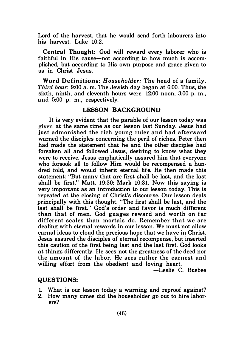Lord of the harvest, that he would send forth labourers into his harvest. Luke 10:2.

Central Thought: God will reward every laborer who is faithful in His cause—not according to how much is accomplished, but according to His own purpose and grace given to us in Christ Jesus.

Word Definitions: Householder: The head of a family. Third hour: 9:00 a. m. The Jewish day began at 6:00. Thus, the sixth, ninth, and eleventh hours were: 12:00 noon, 3:00 p. m., and 5:00 p. m., respectively.

#### LESSON BACKGROUND

It is very evident that the parable of our lesson today was given at the same time as our lesson last Sunday. Jesus had just admonished the rich young ruler and had afterward warned the disciples concerning the peril of riches. Peter then had made the statement that he and the other disciples had forsaken all and followed Jesus, desiring to know what they were to receive. Jesus emphatically assured him that everyone who forsook all to follow Him would be recompensed a hundred fold, and would inherit eternal life. He then made this statement: "But many that are first shall be last, and the last shall be first." Matt. 19:30; Mark 10:31. Now this saying is very important as an introduction to our lesson today. This is repeated at the closing of Christ's discourse. Our lesson deals principally with this thought. "The first shall be last, and the last shall be first." God's order and favor is much different than that of men. God guages reward and worth on far different scales than mortals do. Remember that we are dealing with eternal rewards in our lesson. We must not allow carnal ideas to cloud the precious hope that we have in Christ. Jesus assured the disciples of eternal recompense, but inserted this caution of the first being last and the last first. God looks at things differently. He sees not the greatness of the deed nor the amount of the labor. He sees rather the earnest and willing effort from the obedient and loving heart.

-Leslie C. Busbee

#### QUESTIONS:

- 1. What is our lesson today a warning and reproof against?
- 2. How many times did the householder go out to hire laborers?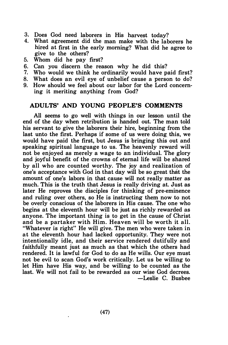- 3. Does God need laborers in His harvest today?
- 4. What agreement did the man make with the laborers he hired at first in the early morning? What did he agree to give to the others?
- 5. Whom did he pay first?
- 6. Can you discern the reason why he did this?<br>7. Who would we think he ordinarily would have n
- Who would we think he ordinarily would have paid first?
- 8. What does an evil eve of unbelief cause a person to do?
- 9. How should we feel about our labor for the Lord concerning it meriting anything from God?

#### ADULTS' AND YOUNG PEOPLE'S COMMENTS

All seems to go well with things in our lesson until the end of the day when retribution is handed out. The man told his servant to give the laborers their hire, beginning from the last unto the first. Perhaps if some of us were doing this, we would have paid the first, but Jesus is bringing this out and speaking spiritual language to us. The heavenly reward will not be enjoyed as merely a wage to an individual. The glory and joyful benefit of the crowns of eternal life will be shared by all who are counted worthy. The joy and realization of one's acceptance with God in that day will be so great that the amount of one's labors in that cause will not really matter as much. This is the truth that Jesus is really driving at. Just as later He reproves the disciples for thinking of pre-eminence and ruling over others, so He is instructing them now to not be overly conscious of the laborers in His cause. The one who begins at the eleventh hour will be just as richly rewarded as anyone. The important thing is to get in the cause of Christ and be a partaker with Him. Heaven will be worth it all. "Whatever is right" He will give. The men who were taken in at the eleventh hour had lacked opportunity. They were not intentionally idle, and their service rendered dutifully and faithfully meant just as much as that which the others had rendered. It is lawful for God to do as He wills. Our eye must not be evil to scan God's work critically. Let us be willing to let Him have His way, and be willing to be counted as the last. We will not fail to be rewarded as our wise God decrees. -Leslie C. Busbee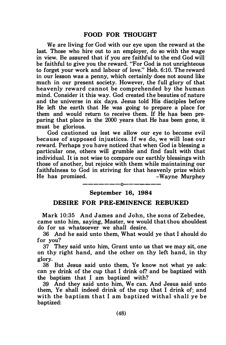We are living for God with our eye upon the reward at the last. Those who hire out to an employer, do so with the wage in view. Be assured that if you are faithful to the end God will be faithful to give you the reward. "For God is not unrighteous to forget your work and labour of love." Heb. 6:10. The reward in our lesson was a penny, which certainly does not sound like much in our present society. However, the full glory of that heavenly reward cannot be comprehended by the human mind. Consider it this way. God created the beauties of nature and the universe in six days. Jesus told His disciples before He left the earth that He was going to prepare a place for them and would return to receive them. If He has been preparing that place in the 2000 years that He has been gone, it must be glorious.

God cautioned us lest we allow our eve to become evil because of supposed injustices. If we do, we will lose our reward. Perhaps you have noticed that when God is blessing a particular one, others will grumble and find fault with that individual. It is not wise to compare our earthly blessings with those of another, but rejoice with them while maintaining our faithfulness to God in striving for that heavenly prize which He has promised. The settlement of the Murphey

——————————————

#### September 16, 1984

#### DESIRE FOR PRE-EMINENCE REBUKED

Mark 10:35 And James and John, the sons of Zebedee, came unto him, saying, Master, we would that thou shouldest do for us whatsoever we shall desire.

36 And he said unto them, What would ye that I should do for you?

37 They said unto him, Grant unto us that we may sit, one on thy right hand, and the other on thy left hand, in thy glory.

38 But Jesus said unto them, Ye know not what ye ask: can ye drink of the cup that I drink of? and be baptized with the baptism that I am baptized with?

39 And they said unto him, We can. And Jesus said unto them, Ye shall indeed drink of the cup that I drink of; and with the baptism that I am baptized withal shall ye be baptized: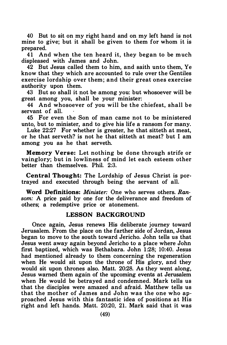40 But to sit on my right hand and on my left hand is not mine to give; but it shall be given to them for whom it is prepared.

41 And when the ten heard it, they began to be much displeased with James and John.

42 But Jesus called them to him, and saith unto them, Ye know that they which are accounted to rule over the Gentiles exercise lordship over them; and their great ones exercise authority upon them.

43 But so shall it not be among you: but whosoever will be great among you, shall be your minister:

44 And whosoever of you will be the chiefest, shall be servant of all.

45 For even the Son of man came not to be ministered unto, but to minister, and to give his life a ransom for many.

Luke 22:27 For whether is greater, he that sitteth at meat, or he that serveth? is not he that sitteth at meat? but I am among you as he that serveth.

Memory Verse: Let nothing be done through strife or vainglory; but in lowliness of mind let each esteem other better than themselves. Phil. 2:3.

Central Thought: The Lordship of Jesus Christ is portrayed and executed through being the servant of all.

Word Definitions: *Minister:* One who serves others, Ransom: A price paid by one for the deliverance and freedom of others; a redemptive price or atonement.

#### LESSON BACKGROUND

Once again, Jesus renews His deliberate journey toward Jerusalem. From the place on the farther side of Jordan, Jesus began to move to the south toward Jericho. John tells us that Jesus went away again beyond Jericho to a place where John first baptized, which was Bethabara. John 1 :28; 10:40. Jesus had mentioned already to them concerning the regeneration when He would sit upon the throne of His glory, and they would sit upon thrones also. Matt. 20:28. As they went along, Jesus warned them again of the upcoming events at Jerusalem when He would be betrayed and condemned. Mark tells us that the disciples were amazed and afraid. Matthew tells us that the mother of James and John was the one who approached Jesus with this fantastic idea of positions at His right and left hands. Matt. 20:20, 21. Mark said that it was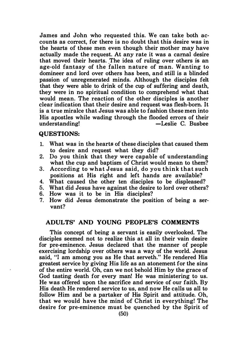James and John who requested this. We can take both accounts as correct, for there is no doubt that this desire was in the hearts of these men even though their mother may have actually made the request. At any rate it was a carnal desire that moved their hearts. The idea of ruling over others is an age-old fantasy of the fallen nature of man. Wanting to domineer and lord over others has been, and still is a blinded passion of unregenerated minds. Although the disciples felt that they were able to drink of the cup of suffering and death, they were in no spiritual condition to comprehend what that would mean. The reaction of the other disciples is another clear indication that their desire and request was flesh-born. It is a true miralce that Jesus was able to fashion these men into His apostles while wading through the flooded errors of their<br>understanding!<br>-Leslie C. Busbee -Leslie C. Busbee

#### QUESTIONS:

- 1. What was in the hearts of these disciples that caused them to desire and request what they did?
- 2. Do you think that they were capable of understanding what the cup and baptism of Christ would mean to them?
- 3. According to what Jesus said, do you think that such positions at His right and left hands are available?
- 4. What caused the other ten disciples to be displeased?
- 5. What did Jesus have against the desire to lord over others?
- 6. How was it to be in His disciples?
- 7. How did Jesus demonstrate the position of being a servant?

## ADULTS' AND YOUNG PEOPLE'S COMMENTS

This concept of being a servant is easily overlooked. The disciples seemed not to realize this at all in their vain desire for pre-eminence. Jesus declared that the manner of people exercising lordship over others was a way of the world. Jesus said, "I am among you as He that serveth." He rendered His greatest service by giving His life as an atonement for the sins of the entire world. Oh, can we not behold Him by the grace of God tasting death for every man! He was ministering to us. He was offered upon the sacrifice and service of our faith. By His death He rendered service to us, and now He calls us all to follow Him and be a partaker of His Spirit and attitude. Oh, that we would have the mind of Christ in everything! The desire for pre-eminence must be quenched by the Spirit of .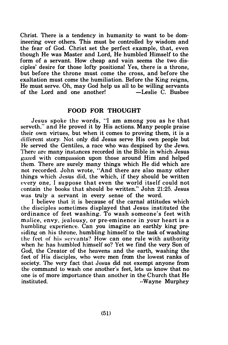Christ. There is a tendency in humanity to want to be domineering over others. This must be controlled by wisdom and the fear of God. Christ set the perfect example, that, even though He was Master and Lord, He humbled Himself to the form of a servant. How cheap and vain seems the two disciples' desire for those lofty positions! Yes, there is a throne, but before the throne must come the cross, and before the exaltation must come the humiliation. Before the King reigns, He must serve. Oh, may God help us all to be willing servants of the Lord and one another!

## FOOD FOR THOUGHT

Jesus spoke the words. "I am among you as he that serveth," and He proved it by His actions. Many people praise their own virtues, but when it comes to proving them, it is a di fferent story. Not only did Jesus serve His own people but He served the Gentiles, a race who was despised by the Jews. There are many instances recorded in the Bible in which Jesus gazed with compassion upon those around Him and helped them. There are surely many things which He did which are not recorded. John wrote, "And there are also many other things which Jesus did, the which, if they should be written every one. I suppose that even the world itself could not contain the books that should be written." John 21 :25. Jesus was truly a servant in every sense of the word.

I believe that it is because of the carnal attitudes which the disciples sometimes displayed that Jesus instituted the ordinance of feet washing. To wash someone's feet with malice, envy, jealousy, or pre-eminence in your heart is a humbling experience. Can you imagine an earthly king presiding on his throne, humbling himself to the task of washing the feet of his servants? How can one rule with authority when he has humbled himself so? Yet we find the very Son of God, the Creator of the heavens and the earth, washing the feet of His disciples, who were men from the lowest ranks of society. The very fact that Jesus did not exempt anyone from the command to wash one another's feet, lets us know that no one is of more importance than another in the Church that He instituted.  $\cdot$ Wayne Murphey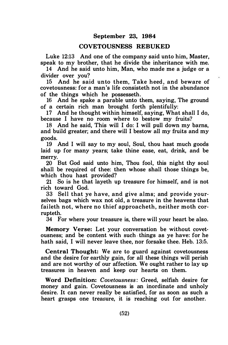#### September 23, 1984

#### COVETOUSNESS REBUKED

Luke 12:13 And one of the company said unto him, Master, speak to my brother, that he divide the inheritance with me.

14 And he said unto him, Man, who made me a judge or a divider over you?

15 And he said unto them, Take heed, and beware of covetousness: for a man's life consisteth not in the abundance of the things which he possesseth.

16 And he spake a parable unto them, saying, The ground of a certain rich man brought forth plentifully:

17 And he thought within himself, saying, What shall I do, because I have no room where to bestow my fruits?

18 And he said, This will I do: I will pull down my hams, and build greater; and there will I bestow all my fruits and my goods.

19 And I will say to my soul, Soul, thou hast much goods laid up for many years; take thine ease, eat, drink, and be merry.

20 But God said unto him, Thou fool, this night thy soul shall be required of thee: then whose shall those things be, which thou hast provided?

21 So is he that layeth up treasure for himself, and is not rich toward God.

33 Sell that ye have, and give alms; and provide yourselves bags which wax not old, a treasure in the heavens that faileth not, where no thief approacheth, neither moth corrupteth.

34 For where your treasure is, there will your heart be also.

Memory Verse: Let your conversation be without covetousness; and be content with such · things as ye have: for he hath said, I will never leave thee, nor forsake thee. Heb. 13:5.

Central Thought: We are to guard against covetousness and the desire for earthly gain, for all these things will perish and are not worthy of our affection. We ought rather to lay up treasures in heaven and keep our hearts on them.

Word Definition: Covetousness: Greed, selfish desire for money and gain. Covetousness is an inordinate and unholy desire. It can never really be satisfied, for as soon as such a heart grasps one treasure, it is reaching out for another.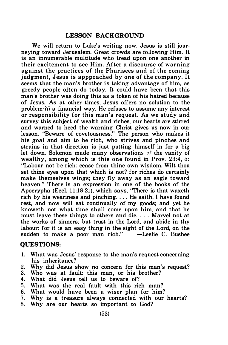#### LESSON BACKGROUND

We will return to Luke's writing now. Jesus is still journeying toward Jerusalem. Great crowds are following Him. It is an innumerable multitude who tread upon one another in their excitement to see Him. After a discourse of warning against the practices of the Pharisees and of the coming judgment, Jesus is apppoached by one of the company. It seems that the man's brother is taking advantage of him, as greedy people often do today. It could have been that this man's brother was doing this as a token of his hatred because of Jesus. As at other times, Jesus offers no solution to the problem-in a financial way. He refuses to assume any interest or responsibility for this man's request. As we study and survey this subject of wealth and riches, our hearts are stirred and warned to heed the warning Christ gives us now in our lesson. "Beware of covetousness." The person who makes it his goal and aim to be rich, who strives and pinches and strains in that direction is just putting himself in for a big let down. Solomon made many observations of the vanity of wealthy, among which is this one found in Prov.  $23:4, 5$ : "Labour not be rich: c�ase from thine own wisdom. Wilt thou set thine eyes upon that which is not? for riches do certainly make themselves wings; they fly away as an eagle toward heaven." There is an expression in one of the books of the Apocrypha (Eccl. 11:18-21), which says, "There is that waxeth rich by his weariness and pinching.... He saith, I have found rest, and now will eat continually of my goods; and yet he knoweth not what time shall come upon him, and that he must leave these things to others and die .... Marvel not at the works of sinners; but trust in the Lord, and abide in thy labour: for it is an easy thing in the sight of the Lord, on the sudden to make a poor man rich."

#### QUESTIONS:

- 1. What was Jesus' response to the man's request concerning his inheritance?
- 2. Why did Jesus show no concern for this man's request?
- 3. Who was at fault: this man, or his brother?
- 4. What did Jesus tell us to beware of?
- 5. What was the real fault with this rich man?
- 6. What would have been a wiser plan for him?
- 7. Why is a treasure always connected with our hearts?
- 8. Why are our hearts so important to God?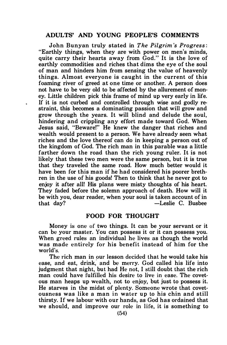#### ADULTS' AND YOUNG PEOPLE'S COMMENTS

John Bunyan truly stated in The Pilgrim 's Progress: "Earthly things, when they are with power on men's minds, quite carry their hearts away from God." It is the love of earthly commodities and riches that dims the eye of the soul of man and hinders him from sensing the value of heavenly things. Almost everyone is caught in the current of this foaming river of greed at one time or another. A person does not have to be very old to be affected by the allurement of money. Little children pick this frame of mind up very early in life. If it is not curbed and controlled through wise and godly restraint, this becomes a dominating passion that will grow and grow through the years. It will blind and delude the soul, hindering and crippling any effort made toward God. When Jesus said, "Beware!" He knew the danger that riches and wealth would present to a person. We have already seen what riches and the love thereof can do in keeping a person out of the kingdom of God. The rich man in this parable was a little farther down the road than the rich young ruler. It is not likely that these two men were the same person, but it is true that they traveled the same road. How much better would it have been for this man if he had considered his poorer brethren in the use of his goods! Then to think that he never got to enjoy it after all! His plans were misty thoughts of his heart. They faded before the solemn approach of death. How will it be with you, dear reader, when your soul is taken account of in<br>that day? - Leslie C. Busbee -Leslie C. Busbee

#### FOOD FOR THOUGHT

Money is one of two things. It can be your servant or it can be your master. You can possess it or it can possess you. When greed rules an individual he lives as though the world was made entirely for his benefit instead of him for the world's.

The rich man in our lesson decided that he would take his ease, and eat, drink,' and be merry. God called his life into judgment that night, but had He not, I still doubt that the rich man could have fulfilled his desire to live in ease. The covetous man heaps up wealth, not to enjoy, but just to possess it. He starves in the midst of plenty. Someone wrote that covetousness was like a man in water up to his chin and still thirsty. If we labour with our hands, as God has ordained that we should, and improve our role in life, it is something to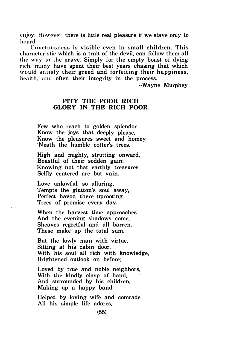enjoy. However, there is little real pleasure if we slave only to hoard.

Covet ousness is visible even in small children. This characteristic which is a trait of the devil, can follow them all the way to the grave. Simply for the empty boast of dying rich, many have spent their best years chasing that which would satisfy their greed and forfeiting their happiness, health, and often their integrity in the process.

--Wayne Murphey

#### PITY THE POOR RICH GLORY IN THE RICH POOR

Few who reach to golden splendor Know the joys that deeply please, Know the pleasures sweet and homey 'Neath the humble cotter's trees.

High and mighty, strutting onward, Boastful of their sodden gain; Knowing not that earthly treasures Selfly centered are but vain.

Love unlawful, so alluring, Tempts the glutton's soul away, Perfect havoc, there uprooting Trees of promise every day.

When the harvest time approaches And the evening shadows come, Sheaves regretful and all barren, These make up the total sum.

But the lowly man with virtue, Sitting at his cabin door, With his soul all rich with knowledge, Brightened outlook on before;

Loved by true and noble neighbors, With the kindly clasp of hand, And surrounded by his children, Making up a happy band;

Helped by loving wife and comrade All his simple life adores,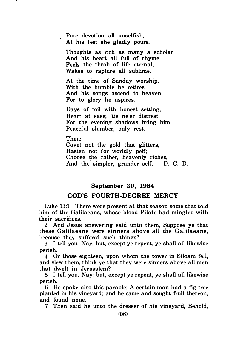Pure devotion all unselfish, At his feet she gladly pours.

Thoughts as rich as many a scholar And his heart all full of rhyme Feels the throb of life eternal, Wakes to rapture all sublime.

At the time of Sunday worship, With the humble he retires, And his songs ascend to heaven, For to glory he aspires.

Days of toil with honest setting, Heart at ease; 'tis ne'er distrest For the evening shadows bring him Peaceful slumber, only rest.

Then: Covet not the gold that glitters, Hasten not for worldly pelf; Choose the rather, heavenly riches, And the simpler, grander self. --D. C. D.

#### September 30, 1984

#### GOD'S FOURTH-DEGREE MERCY

Luke 13:1 There were present at that season some that told him of the Galilaeans, whose blood Pilate had mingled with their sacrifices.

2 And Jesus answering said unto them, Suppose ye that these Galilaeans were sinners above all the Galilaeans, because they suffered such things?

3 I tell you, Nay: but, except ye repent, ye shall all likewise perish.

4 Or those eighteen, upon whom the tower in Siloam fell, and slew them, think ye that they were sinners above all men that dwelt in Jerusalem?

5 I tell you, Nay: but, except ye repent, ye shall all likewise perish.

6 He spake also this parable; A certain man had a fig tree planted in his vineyard; and he came and sought fruit thereon, and found none.

7 Then said he unto the dresser of his vineyard, Behold,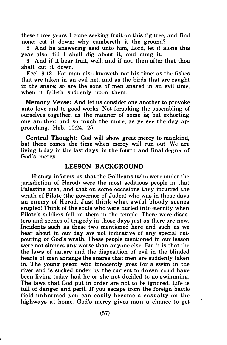these three years I come seeking fruit on this fig tree, and find none: cut it down; why cumbereth it the ground?

8 And he answering said unto him, Lord, let it alone this year also, till I shall dig about it, and dung it:

9 And if it bear fruit, well: and if not, then after that thou shalt cut it down.

Eccl. 9:12 For man also knoweth not his time: as the fishes that are taken in an evil net, and as the birds that are caught in the snare; so are the sons of men snared in an evil time, when it falleth suddenly upon them.

Memory Verse: And let us consider one another to provoke unto love and to good works: Not forsaking the assembling of ourselves together, as the manner of some is; but exhorting one another: and so much the more, as ye see the day approaching. Heb. 10:24, 25.

Central Thought: God will show great mercy to mankind, but there comes the time when mercy will run out. We are living today in the last days, in the fourth and final degree of God's mercy.

#### LESSON BACKGROUND

History informs us that the Galileans (who were under the jurisdiction of Herod) were the most seditious people in that Palestine area, and that on some occasions they incurred the wrath of Pilate (the governor of Judea) who was in those days an enemy of Herod. Just think what awful bloody scenes erupted! Think of the souls who were hurled into eternity when Pilate's soldiers fell on them in the temple. There were disasters and scenes of tragedy in those days just as there are now. Incidents such as these two mentioned here and such as we hear about in our day are not indicative of any special outpouring of God's wrath. These people mentioned in our lesson were not sinners any worse than anyone else. But it is that the the laws of nature and the disposition of evil in the blinded hearts of men arrange the snares that men are suddenly taken in. The young peson who innocently goes for a swim in the river and is sucked under by the current to drown could have been living today had he or she not decided to go swimming. The laws that God put in order are not to be ignored. Life is full of danger and peril. If you escape from the foreign battle field unharmed you can easily become a casualty on the highways at home. God's mercy gives man a chance to get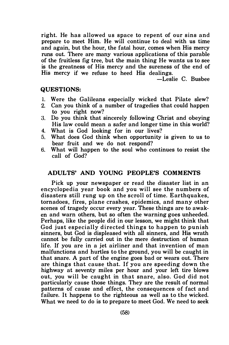right. He has allowed us space to repent of our sins and prepare to meet Him. He will continue to deal with us time and again, but the hour, the fatal hour, comes when His mercy runs out. There are many various applications of this parable of the fruitless fig tree, but the main thing He wants us to see is the greatness of His mercy and the sureness of the end of His mercy if we refuse to heed His dealings.

-Leslie C. Busbee

#### QUESTIONS:

- 1. Were the Galileans especially wicked that Pilate slew?<br>2. Can you think of a number of tragedies that could happen
- 2. Can you think of a number of tragedies that could happen to you right now?
- 3. Do you think that sincerely following Christ and obeying His law could mean a safer and longer time in this world?
- 4. What is God looking for in our lives?
- 5. What does God think when opportunity is given to us to bear fruit and we do not respond?
- 6. What will happen to the soul who continues to resist the call of God?

## ADULTS' AND YOUNG PEOPLE'S COMMENTS

Pick up your newspaper or read the disaster list in an encyclopedia year book and you will see the numbers of disasters still rung up on the scroll of time. Earthquakes, tornadoes, fires, plane crashes, epidemics, and many other scenes of tragedy occur every year. These things are to awaken and warn others, but so often the warning goes unheeded. Perhaps, like the people did in our lesson, we might think that God just especially directed things to happen to punish sinners, but God is displeased with all sinners, and His wrath cannot be fully carried out in the mere destruction of human life. If you are in a jet airliner and that invention of man malfunctions and hurtles to the ground, you will be caught in that snare. A part of the engine goes bad or wears out. There are things that cause that. If you are speeding down the highway at seventy miles per hour and your left tire blows out, you will be caught in that snare, also. God did not particularly cause those things. They are the result of normal patterns of cause and effect, the consequences of fact and failure. It happens to the righteous as well as to the wicked. What we need to do is to prepare to meet God. We need to seek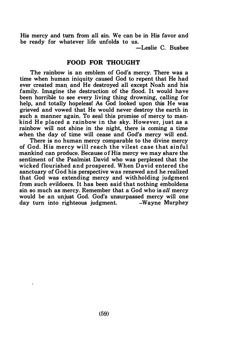His mercy and turn from all sin. We can be in His favor and be ready for whatever life unfolds to us.

-Leslie C. Busbee

#### FOOD FOR THOUGHT

The rainbow is an emblem of God's mercy. There was a time when human iniquity caused God to repent that He had ever created man. and He destroyed all except Noah and his family. Imagine the destruction of the flood. It would have been horrible to see every living thing drowning, calling for help, and totally hopeless! As God looked upon this He was grieved and vowed that He would never destroy the earth in such a manner again. To seal this promise of mercy to mankind He placed a rainbow in the sky. However, just as a rainbow will not shine in the night, there is coming a time when the day of time will cease and God's mercy will end.

There is no human mercy comparable to the divine mercy of God. His mercy will reach the vilest case that sinful mankind can produce. Because of His mercy we may share the sentiment of the Psalmist David who was perplexed that the wicked flourished and prospered. When David entered the sanctuary of God his perspective was renewed and he realized that God was extending mercy and with holding judgment from such evildoers. It has been said that nothing emboldens sin so much as mercy. Remember that a God who is all mercy would be an unjust God. God's unsurpassed mercy will one day turn into righteous judgment. -Wayne Murphey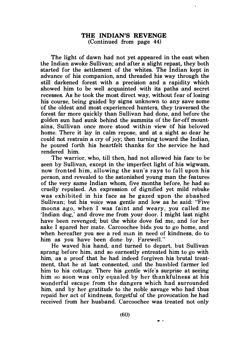#### THE INDIAN'S REVENGE (Continued from page 44)

The light of dawn had not yet appeared in the east when the Indian awoke Sullivan; and after a slight repast, they both started for the settlement of the whites. The Indian kept in advance of his companion, and threaded his way through the still darkened forest with a precision and a rapidity which showed him to be well acquainted with its paths and secret recesses. As he took the most direct way, without fear of losing his course, being guided by signs unknown to any save some of the oldest and most experienced hunters, they traversed the forest far more quickly than Sullivan had done, and before the golden sun had sunk behind the summits of the far-off mountains, Sullivan once more stood within view of his beloved home. There it lay in calm repose, and at a sight so dear he could not restrain a cry of joy; then turning toward the Indian, he poured forth his heartfelt thanks for the service he had rendered him.

The warrior, who, till then, had not allowed his face to be seen by Sullivan, except in the imperfect light of his wigwam, now fronted him, allowing the sun's rays to fall upon his person, and revealed to the astonished young man the features of the very same Indian whom, five months before, he had so cruelly repulsed. An expression of dignified yet mild rebuke was exhibited in his face as he gazed upon the abashed Sullivan; but his voice was gentle and low as he said: "Five moons ago, when I was faint and weary, you called me 'Indian dog,' and drove me from your door. I might last night have been revenged; but the white dove fed me, and for her sake I spared her mate. Carcoochee bids you to go home, and when hereafter you see a red man in need of kindness, do to him as you have been done by. Farewell.''

He waved his hand, and turned to depart, but Sullivan sprang before him, and so earnestly entreated him to go with him, as a proof that he had indeed forgiven his brutal treatment, that he at last consented, and the humbled farmer led him to his cottage. There his gentle wife's surprise at seeing him so soon was only equaled by her thankfulness at his wonderful escape from the dangers which had surrounded him, and by her gratitude to the noble savage who had thus repaid her act of kindness, forgetful of the provocation he had received from her husband. Carcoochee was treated not only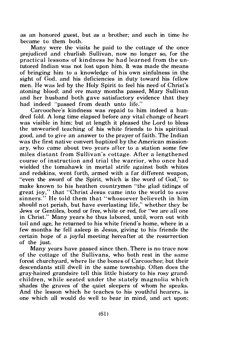as an honored guest, but as a brother; and such in time he became to them both .

Many were the visits he paid to the cottage of the once prejudiced and churlish Sullivan, now no longer so, for the practical lessons of kindness he had learned from the untutored Indian was not lost upon him. It was made the means of bringing him to a knowledge of his own sinfulness in the sight of God, and his deficiencies in duty toward his fellow men. He was led by the Holy Spirit to feel his need of Christ's atoning blood; and ere many months passed, Mary Sullivan and her husband both gave satisfactory evidence that they had indeed "passed from death unto life."

Carcoochee's kindness was repaid to him indeed a hundred fold. A long time elapsed before any vital change of heart was visible in him; but at length it pleased the Lord to bless the unwearied teaching of his white friends to his spiritual good, and to give an answer to the prayer of faith. The Indian was the first native convert baptized by the American missionary, who came about two years after to a station some few miles distant from Sullivan's cottage. After a lengthened course of instruction and trial the warrior, who once had wielded the tomahawk in mortal strife against both whites and redskins, went forth, armed with a far different weapon, "even the sword of the Spirit, which is the word of God," to make known to his heathen countrymen ''the glad tidings of great joy," that "Christ Jesus came into the world to save sinners." He told them that "whosoever believeth in him should not perish, but have everlasting life," whether they be Jews or Gentiles, bond or free, white or red, for "we are all one in Christ." Many years he thus labored, until, worn out with toil and age, he returned to his white friend's home, where in a few months he fell asleep in Jesus, giving to his friends the certain hope of a joy ful meeting hereafter at the resurrection of the just.

Many years have passed since then. There is no trace now of the cottage of the Sullivans, who both rest in the same forest churchyard, where lie the hones of Carcoochee; hut their descendants still dwell in the same township. Often does the gray-haired grandsire tell this little history to his rosy grandchildren, while seated under the stately magnolia which shades the graves of the quiet sleepers of whom he speaks. And the lesson which he teaches to his youthful hearers, is one which all would do well to hear in mind, and aet upon;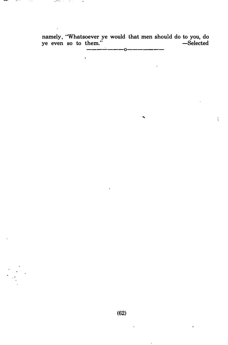namely, "Whatsoever ye would that men should do to you, do ye even so to them." -Selected ---....:....---0-------

ŧ.

 $\ddot{\phantom{0}}$ 

 $\cdot$ 

 $\ddot{\phantom{0}}$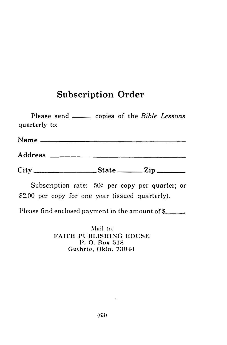# Subscription Order

| <b>Subscription Order</b>                                                                           |  |
|-----------------------------------------------------------------------------------------------------|--|
| Please send ______ copies of the Bible Lessons<br>quarterly to:                                     |  |
|                                                                                                     |  |
|                                                                                                     |  |
|                                                                                                     |  |
| Subscription rate: 50¢ per copy per quarter; or<br>\$2.00 per copy for one year (issued quarterly). |  |
| $Dlong$ find analoged normant in the amount of $\ell$                                               |  |

Please find enclosed payment in the amount of  $\frac{2}{3}$ 

Mail to: FAITH PUBLISHING HOUSE P. O. Box 518 Guthrie, Okla. 73044

 $\hat{\mathbf{r}}$